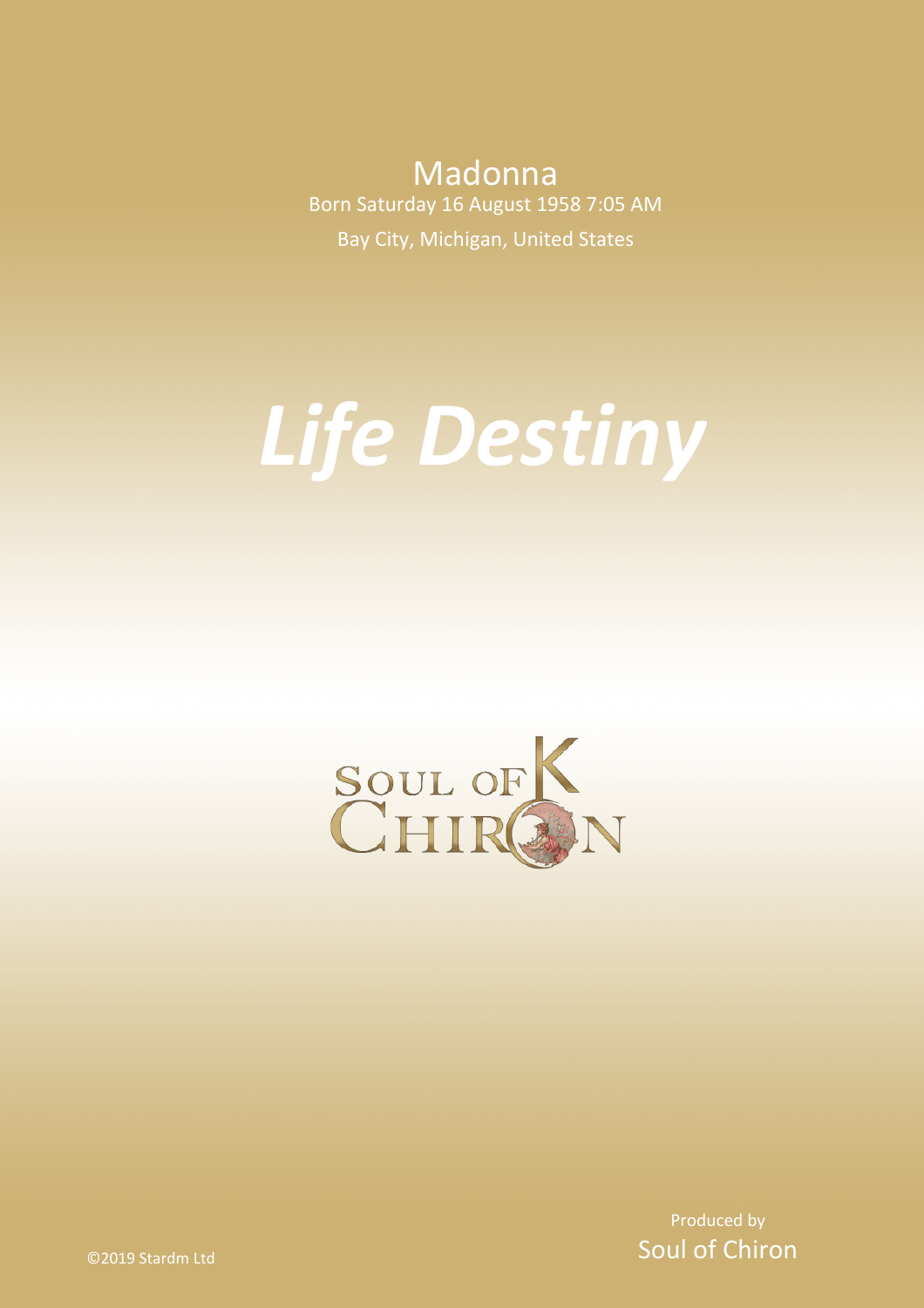Madonna Born Saturday 16 August 1958 7:05 AM Bay City, Michigan, United States

# *Life Destiny*



Produced by Soul of Chiron

©2019 Stardm Ltd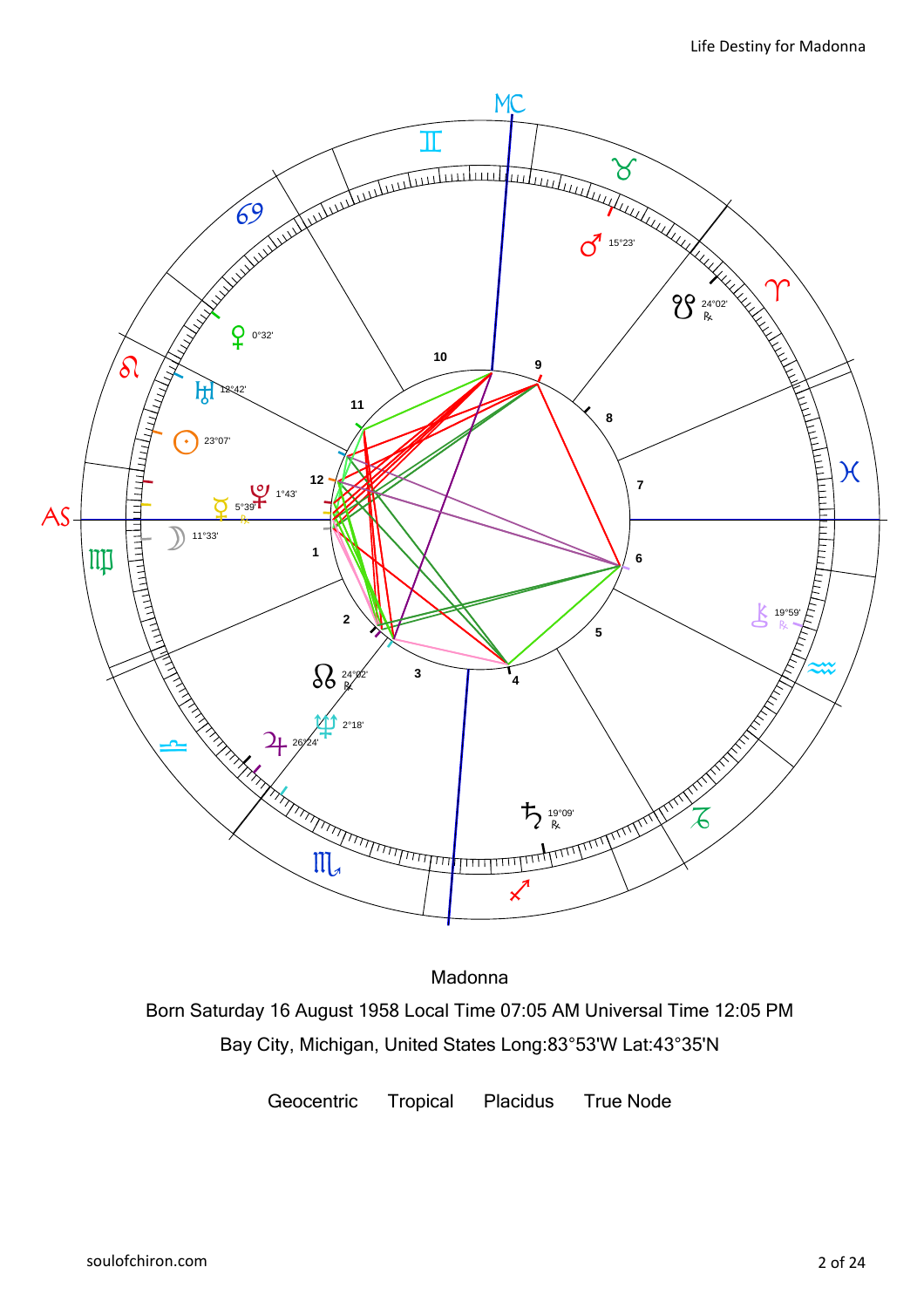

Madonna Born Saturday 16 August 1958 Local Time 07:05 AM Universal Time 12:05 PM Bay City, Michigan, United States Long:83°53'W Lat:43°35'N

Geocentric Tropical Placidus True Node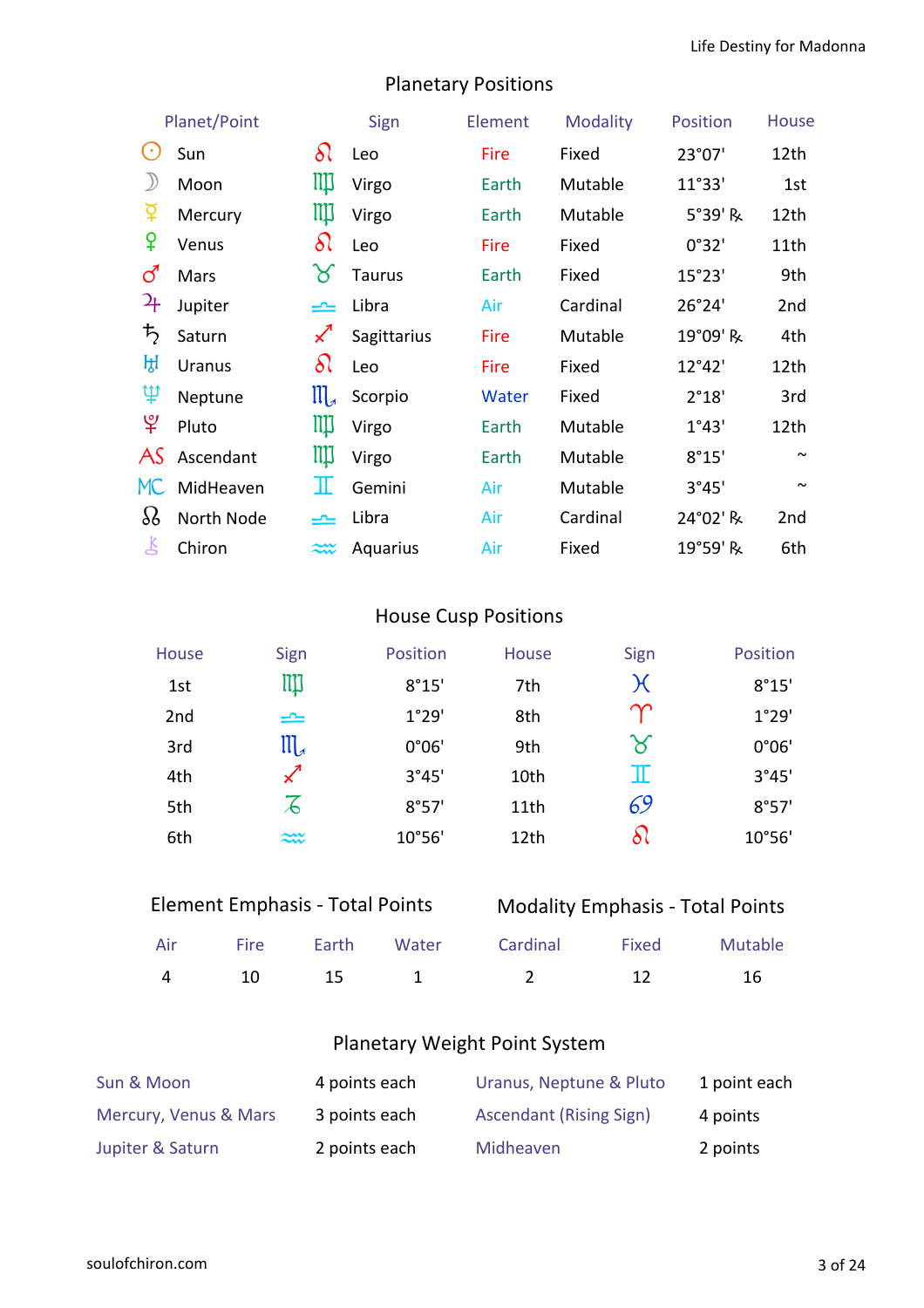|                       | Planet/Point  |                       | Sign          | Element | <b>Modality</b> | Position | <b>House</b>    |
|-----------------------|---------------|-----------------------|---------------|---------|-----------------|----------|-----------------|
| $(\cdot)$             | Sun           | $\delta\Omega$        | Leo           | Fire    | Fixed           | 23°07'   | 12th            |
| $\mathcal{Y}$         | Moon          | Щ                     | Virgo         | Earth   | Mutable         | 11°33'   | 1st             |
| ቖ្                    | Mercury       | ЩI                    | Virgo         | Earth   | Mutable         | 5°39' R  | 12th            |
| ¥                     | Venus         | $\delta\wr$           | Leo           | Fire    | Fixed           | 0°32'    | 11th            |
| ර                     | Mars          | ୪                     | <b>Taurus</b> | Earth   | Fixed           | 15°23'   | 9th             |
| 27                    | Jupiter       | یمی                   | Libra         | Air     | Cardinal        | 26°24'   | 2nd             |
| $\bm{\mathit{t}}_{2}$ | Saturn        | $\measuredangle$      | Sagittarius   | Fire    | Mutable         | 19°09' R | 4th             |
| ਮ੍ਹਿ                  | <b>Uranus</b> | $\delta\!0$           | Leo           | Fire    | Fixed           | 12°42'   | 12th            |
| Ψ                     | Neptune       | $\prod_{\mathcal{A}}$ | Scorpio       | Water   | Fixed           | 2°18'    | 3rd             |
| $\mathfrak{P}$        | Pluto         | Щ                     | Virgo         | Earth   | Mutable         | 1°43'    | 12th            |
| AS                    | Ascendant     | ЩI                    | Virgo         | Earth   | Mutable         | 8°15'    | $\sim$          |
| MC                    | MidHeaven     | Ш                     | Gemini        | Air     | Mutable         | 3°45'    | $\sim$          |
| $\delta$              | North Node    | کا                    | Libra         | Air     | Cardinal        | 24°02' R | 2 <sub>nd</sub> |
| Š                     | Chiron        | $\widetilde{\sim}$    | Aquarius      | Air     | Fixed           | 19°59' R | 6th             |

### Planetary Positions

### House Cusp Positions

| House           | Sign                  | Position | House | Sign                       | Position |
|-----------------|-----------------------|----------|-------|----------------------------|----------|
| 1st             | Щ                     | 8°15'    | 7th   | $\chi$                     | 8°15'    |
| 2 <sub>nd</sub> | $\equiv$              | 1°29'    | 8th   | $\bm{\gamma}$              | 1°29'    |
| 3rd             | $\mathfrak{m}_{\ast}$ | 0°06'    | 9th   | $\boldsymbol{\mathcal{S}}$ | 0°06'    |
| 4th             |                       | 3°45'    | 10th  | π                          | 3°45'    |
| 5th             | $\mathcal{Z}$         | 8°57'    | 11th  | 69                         | 8°57'    |
| 6th             | $\approx$             | 10°56'   | 12th  | ଧ                          | 10°56'   |

| <b>Element Emphasis - Total Points</b> |  |
|----------------------------------------|--|
|                                        |  |

### Modality Emphasis - Total Points

|  |  | Air Fire Earth Water Cardinal Fixed Mutable |  |
|--|--|---------------------------------------------|--|
|  |  | 4 10 15 1 2 12 16                           |  |

### Planetary Weight Point System

| Sun & Moon            | 4 points each | Uranus, Neptune & Pluto        | 1 point each |
|-----------------------|---------------|--------------------------------|--------------|
| Mercury, Venus & Mars | 3 points each | <b>Ascendant (Rising Sign)</b> | 4 points     |
| Jupiter & Saturn      | 2 points each | Midheaven                      | 2 points     |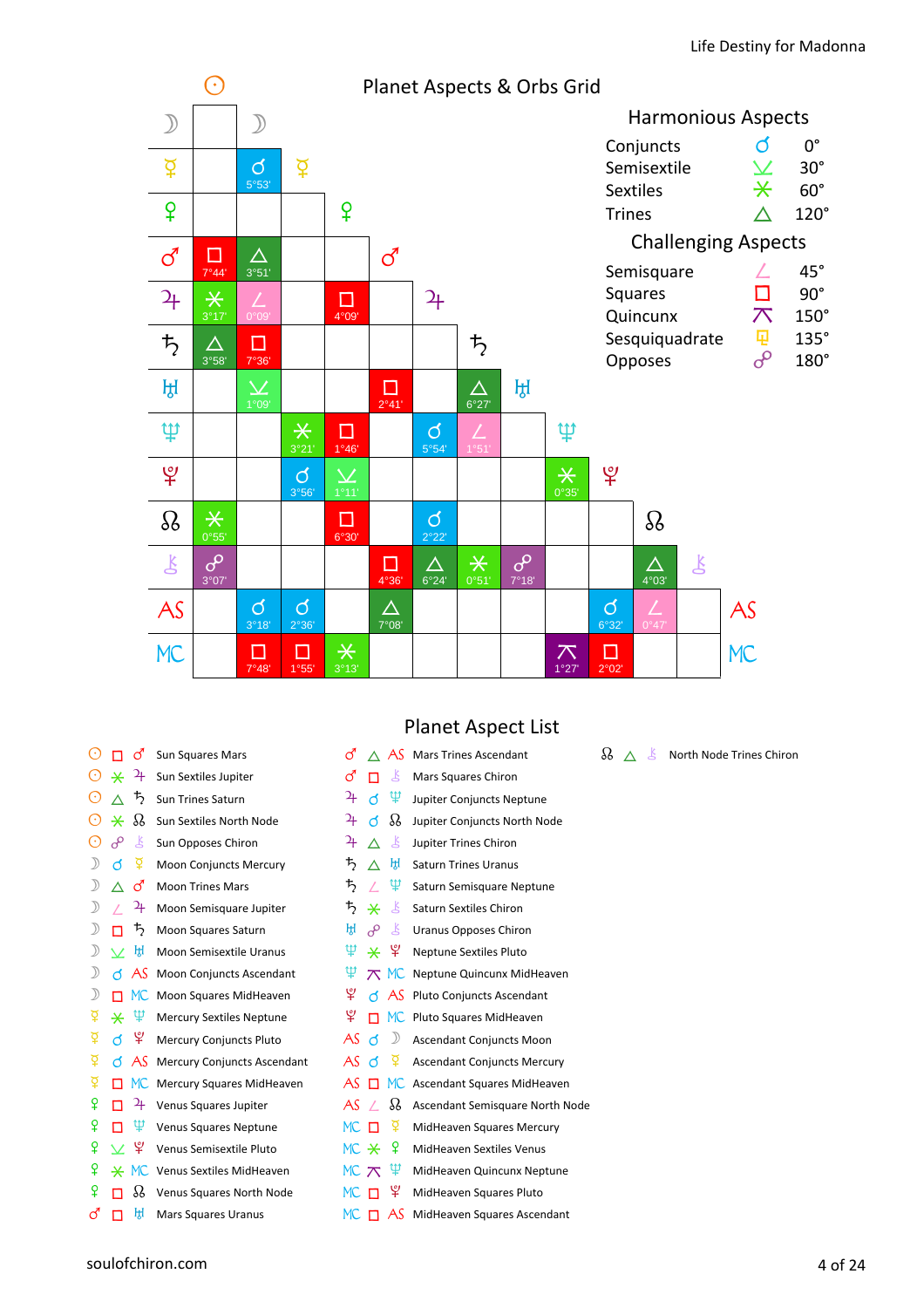

| <b>Sun Squares Mars</b><br>Sun Sextiles Jupiter<br><b>Sun Trines Saturn</b> |
|-----------------------------------------------------------------------------|
|                                                                             |
|                                                                             |
|                                                                             |
| Sun Sextiles North Node                                                     |
| Sun Opposes Chiron                                                          |
| <b>Moon Conjuncts Mercury</b>                                               |
| <b>Moon Trines Mars</b>                                                     |
| Moon Semisquare Jupiter                                                     |
| Moon Squares Saturn                                                         |
| Moon Semisextile Uranus                                                     |
| <b>Moon Conjuncts Ascendant</b>                                             |
| Moon Squares MidHeaven                                                      |
| <b>Mercury Sextiles Neptune</b>                                             |
| <b>Mercury Conjuncts Pluto</b>                                              |
| <b>Mercury Conjuncts Ascendant</b>                                          |
| Mercury Squares MidHeaven                                                   |
| Venus Squares Jupiter                                                       |
| <b>Venus Squares Neptune</b>                                                |
| Venus Semisextile Pluto                                                     |
| <b>Venus Sextiles MidHeaven</b>                                             |
| Venus Squares North Node                                                    |
|                                                                             |

### Planet Aspect List

| ර                     |          | AS            | <b>Mars Trines Ascendant</b>       |
|-----------------------|----------|---------------|------------------------------------|
| <b>ි</b>              | п        | Å             | Mars Squares Chiron                |
| 4                     | đ        | Ψ             | Jupiter Conjuncts Neptune          |
| $\mathbf{a}_\text{F}$ | đ        | B             | Jupiter Conjuncts North Node       |
| $\overline{a}$        | Λ        | Ŗ             | Jupiter Trines Chiron              |
| $\bm{\ddot{5}}$       | Λ        | ਸ਼੍ਰਿ         | <b>Saturn Trines Uranus</b>        |
| $\frac{1}{2}$         | $\angle$ | Ψ             | Saturn Semisquare Neptune          |
| ち                     | $\ast$   | Ľ             | <b>Saturn Sextiles Chiron</b>      |
| ਸ਼੍ਰ                  | ൙        | $\mathbf{k}$  | <b>Uranus Opposes Chiron</b>       |
| Ψ.                    | ⋇        | ょ             | <b>Neptune Sextiles Pluto</b>      |
| Ψ                     | $\pi$    | <b>MC</b>     | Neptune Quincunx MidHeaven         |
| ೪                     |          | d AS          | Pluto Conjuncts Ascendant          |
| ¥                     | п        | <b>MC</b>     | Pluto Squares MidHeaven            |
| AS đ                  |          | $\mathcal{D}$ | <b>Ascendant Conjuncts Moon</b>    |
| AS                    | $\Delta$ | ୍ତୁ           | <b>Ascendant Conjuncts Mercury</b> |
| AS                    | п        | MC.           | Ascendant Squares MidHeaven        |
| AS                    | $\prime$ | ℅             | Ascendant Semisquare North Node    |
| $MC$ $\Pi$            |          | ₽             | MidHeaven Squares Mercury          |
| MC *                  |          | ୍ରହ           | MidHeaven Sextiles Venus           |
| MC $\pi$              |          | ழ             | MidHeaven Quincunx Neptune         |
| MC .                  |          | ¥.            | MidHeaven Squares Pluto            |
| МC                    | п        | AS            | MidHeaven Squares Ascendant        |

### $\mathcal{R} \triangleq \mathcal{S}$  North Node Trines Chiron

 $\vec{C}$   $\Box$   $\overline{k}$  Mars Squares Uranus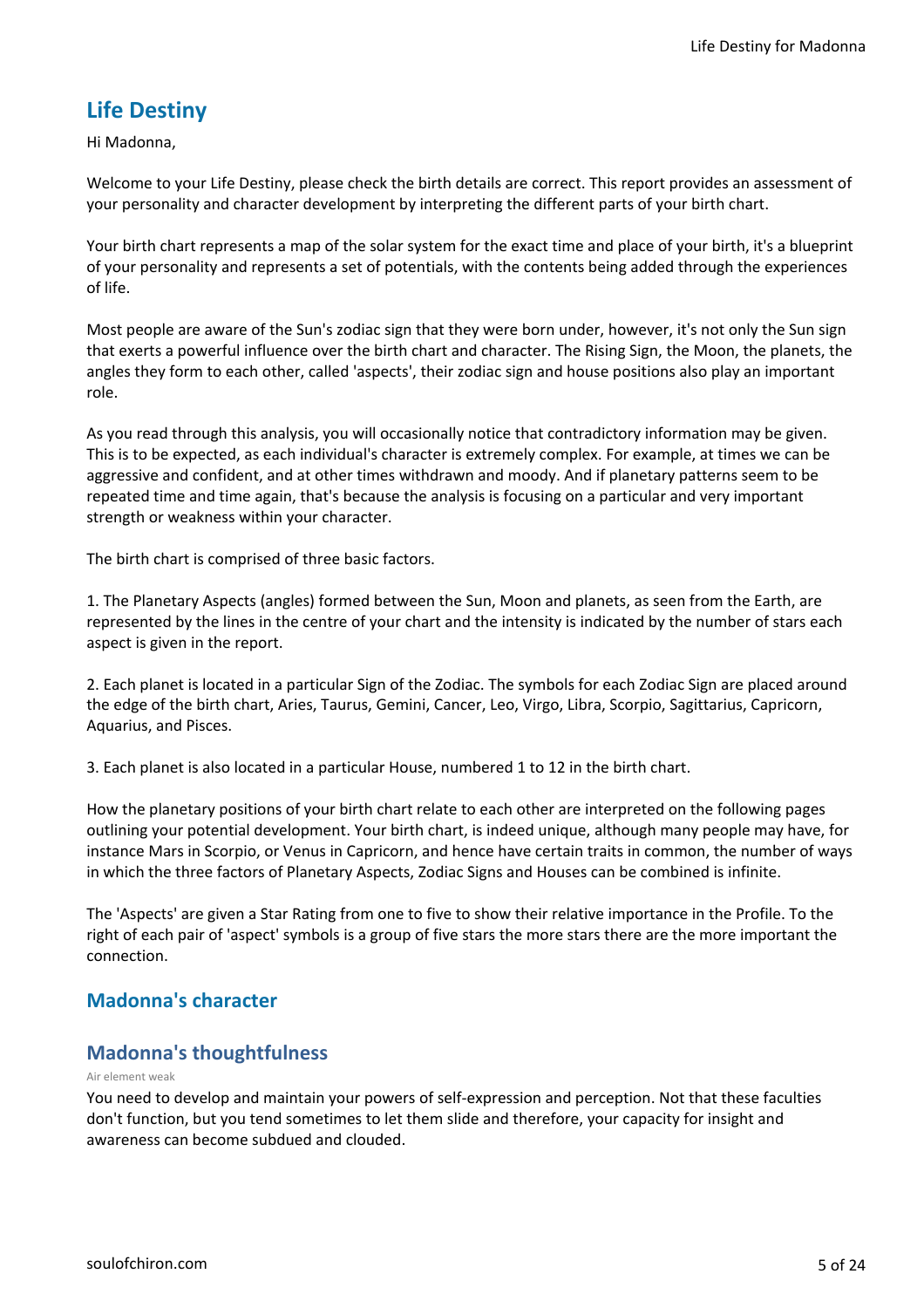### **Life Destiny**

Hi Madonna,

Welcome to your Life Destiny, please check the birth details are correct. This report provides an assessment of your personality and character development by interpreting the different parts of your birth chart.

Your birth chart represents a map of the solar system for the exact time and place of your birth, it's a blueprint of your personality and represents a set of potentials, with the contents being added through the experiences of life.

Most people are aware of the Sun's zodiac sign that they were born under, however, it's not only the Sun sign that exerts a powerful influence over the birth chart and character. The Rising Sign, the Moon, the planets, the angles they form to each other, called 'aspects', their zodiac sign and house positions also play an important role.

As you read through this analysis, you will occasionally notice that contradictory information may be given. This is to be expected, as each individual's character is extremely complex. For example, at times we can be aggressive and confident, and at other times withdrawn and moody. And if planetary patterns seem to be repeated time and time again, that's because the analysis is focusing on a particular and very important strength or weakness within your character.

The birth chart is comprised of three basic factors.

1. The Planetary Aspects (angles) formed between the Sun, Moon and planets, as seen from the Earth, are represented by the lines in the centre of your chart and the intensity is indicated by the number of stars each aspect is given in the report.

2. Each planet is located in a particular Sign of the Zodiac. The symbols for each Zodiac Sign are placed around the edge of the birth chart, Aries, Taurus, Gemini, Cancer, Leo, Virgo, Libra, Scorpio, Sagittarius, Capricorn, Aquarius, and Pisces.

3. Each planet is also located in a particular House, numbered 1 to 12 in the birth chart.

How the planetary positions of your birth chart relate to each other are interpreted on the following pages outlining your potential development. Your birth chart, is indeed unique, although many people may have, for instance Mars in Scorpio, or Venus in Capricorn, and hence have certain traits in common, the number of ways in which the three factors of Planetary Aspects, Zodiac Signs and Houses can be combined is infinite.

The 'Aspects' are given a Star Rating from one to five to show their relative importance in the Profile. To the right of each pair of 'aspect' symbols is a group of five stars the more stars there are the more important the connection.

### **Madonna's character**

### **Madonna's thoughtfulness**

#### Air element weak

You need to develop and maintain your powers of self-expression and perception. Not that these faculties don't function, but you tend sometimes to let them slide and therefore, your capacity for insight and awareness can become subdued and clouded.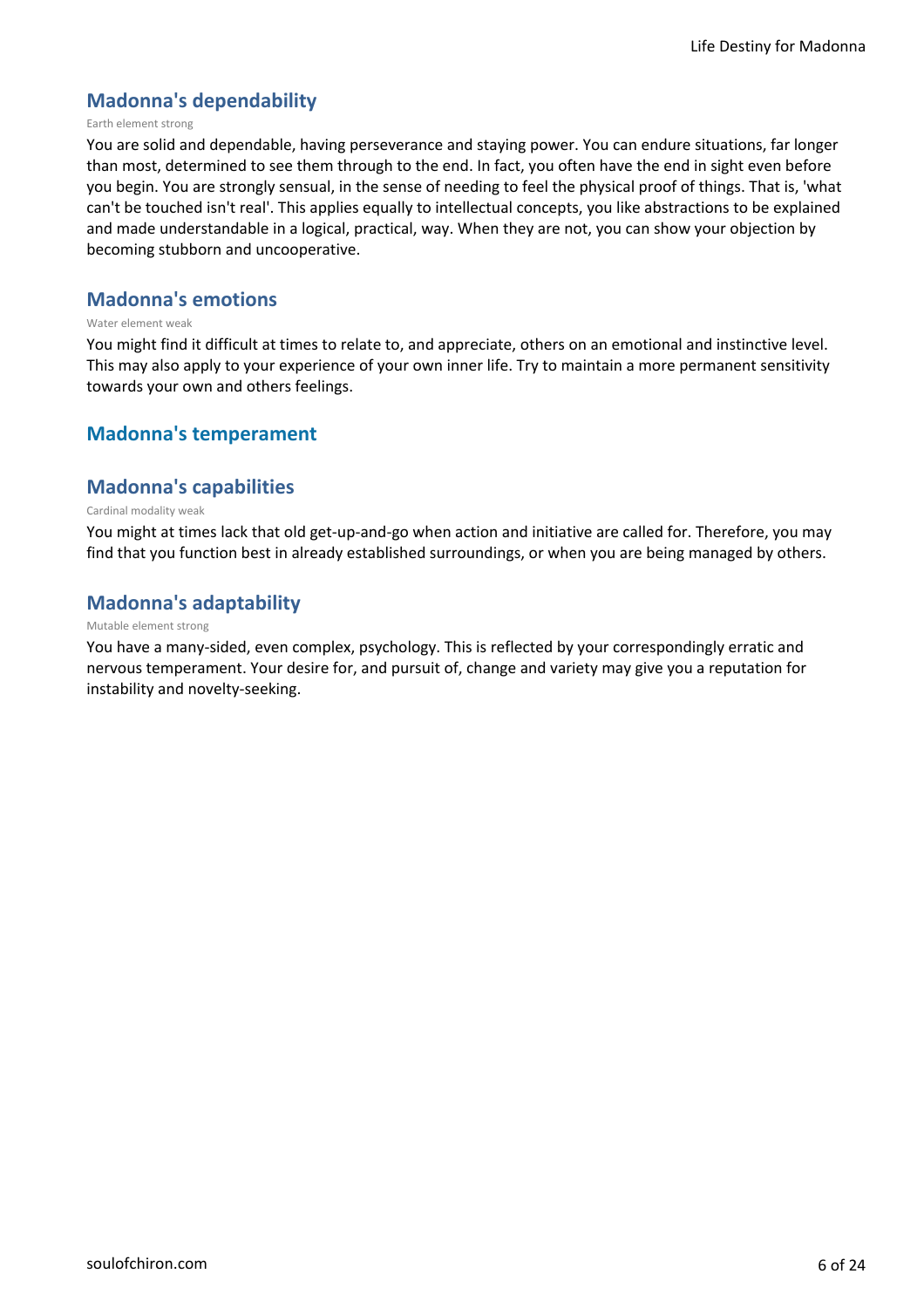### **Madonna's dependability**

#### Earth element strong

You are solid and dependable, having perseverance and staying power. You can endure situations, far longer than most, determined to see them through to the end. In fact, you often have the end in sight even before you begin. You are strongly sensual, in the sense of needing to feel the physical proof of things. That is, 'what can't be touched isn't real'. This applies equally to intellectual concepts, you like abstractions to be explained and made understandable in a logical, practical, way. When they are not, you can show your objection by becoming stubborn and uncooperative.

### **Madonna's emotions**

#### Water element weak

You might find it difficult at times to relate to, and appreciate, others on an emotional and instinctive level. This may also apply to your experience of your own inner life. Try to maintain a more permanent sensitivity towards your own and others feelings.

### **Madonna's temperament**

### **Madonna's capabilities**

#### Cardinal modality weak

You might at times lack that old get-up-and-go when action and initiative are called for. Therefore, you may find that you function best in already established surroundings, or when you are being managed by others.

### **Madonna's adaptability**

#### Mutable element strong

You have a many-sided, even complex, psychology. This is reflected by your correspondingly erratic and nervous temperament. Your desire for, and pursuit of, change and variety may give you a reputation for instability and novelty-seeking.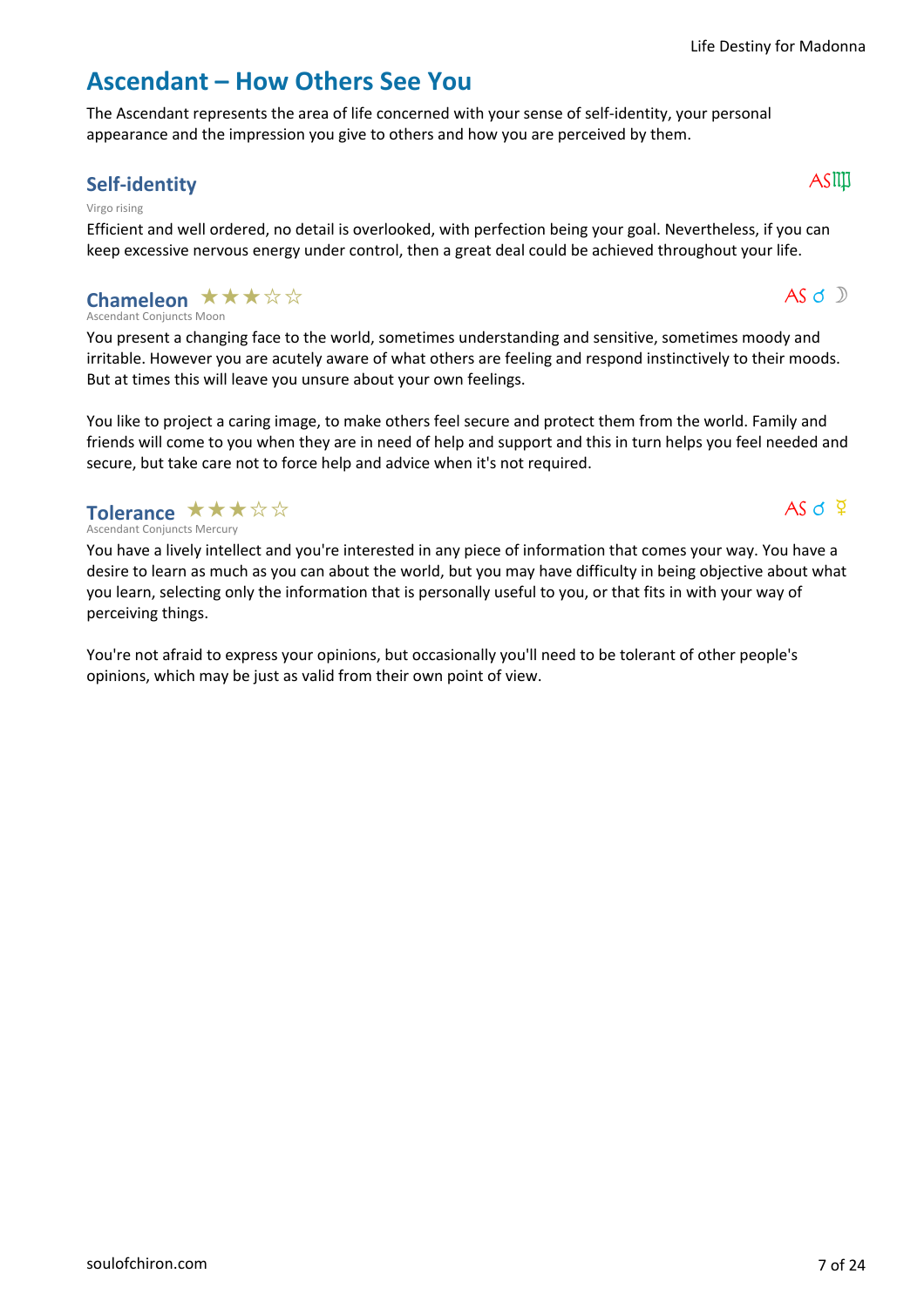$AS \circ D$ 

 $AS \circ \nabla$ 

### **Ascendant – How Others See You**

The Ascendant represents the area of life concerned with your sense of self-identity, your personal appearance and the impression you give to others and how you are perceived by them.

### **Self-identity**  $\qquad \qquad \Delta \text{SIP}$

#### Virgo rising

Efficient and well ordered, no detail is overlooked, with perfection being your goal. Nevertheless, if you can keep excessive nervous energy under control, then a great deal could be achieved throughout your life.

#### Ascendant Conjuncts Moon **Chameleon ★★★☆☆**

You present a changing face to the world, sometimes understanding and sensitive, sometimes moody and irritable. However you are acutely aware of what others are feeling and respond instinctively to their moods. But at times this will leave you unsure about your own feelings.

You like to project a caring image, to make others feel secure and protect them from the world. Family and friends will come to you when they are in need of help and support and this in turn helps you feel needed and secure, but take care not to force help and advice when it's not required.

Ascendant Conjuncts Mercury Tolerance  $\star\star\star\star$ 

You have a lively intellect and you're interested in any piece of information that comes your way. You have a desire to learn as much as you can about the world, but you may have difficulty in being objective about what you learn, selecting only the information that is personally useful to you, or that fits in with your way of perceiving things.

You're not afraid to express your opinions, but occasionally you'll need to be tolerant of other people's opinions, which may be just as valid from their own point of view.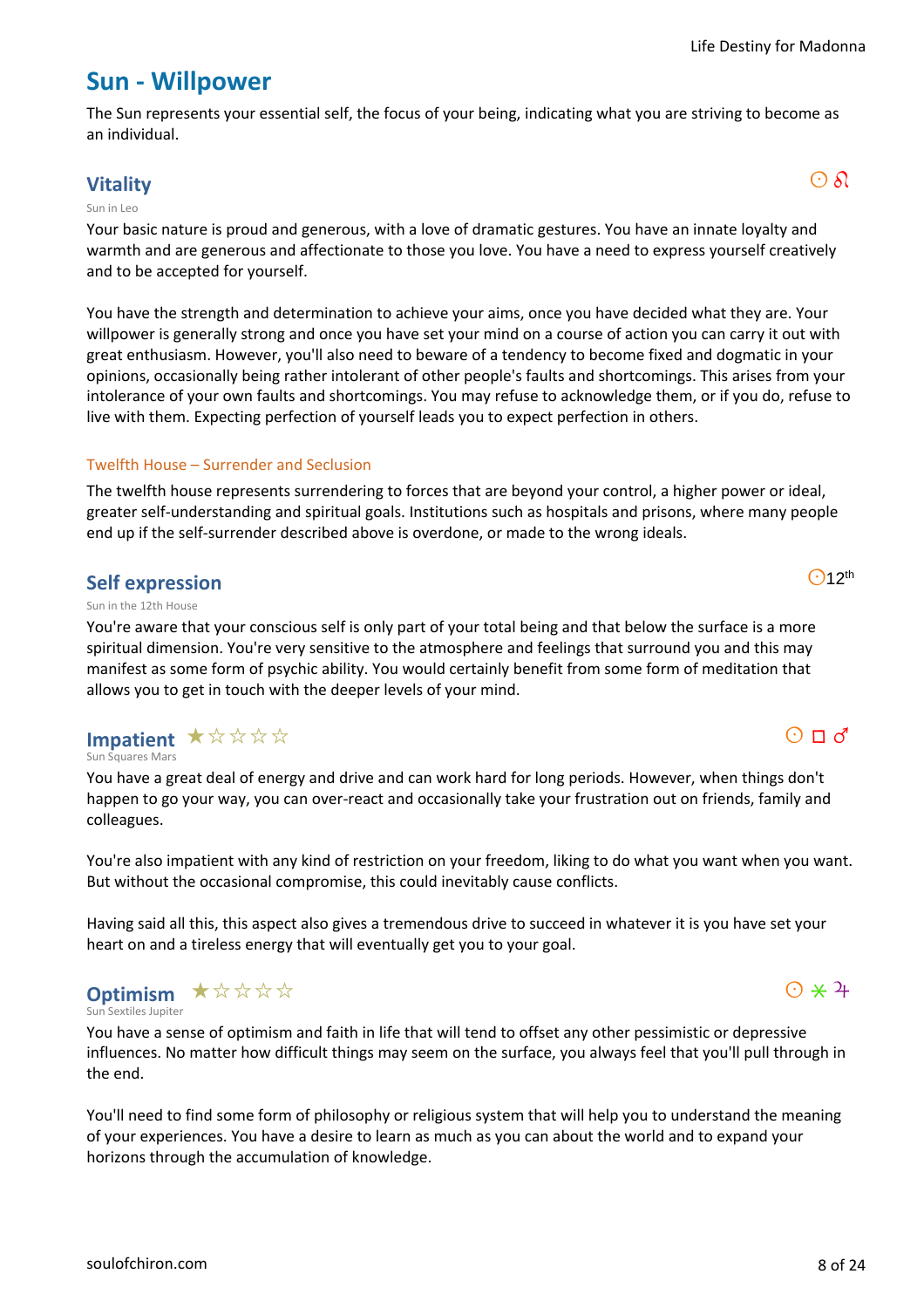### **Sun - Willpower**

The Sun represents your essential self, the focus of your being, indicating what you are striving to become as an individual.

### **Vitality** and  $\overline{\text{O}}$   $\delta$

#### Sun in Leo

Your basic nature is proud and generous, with a love of dramatic gestures. You have an innate loyalty and warmth and are generous and affectionate to those you love. You have a need to express yourself creatively and to be accepted for yourself.

You have the strength and determination to achieve your aims, once you have decided what they are. Your willpower is generally strong and once you have set your mind on a course of action you can carry it out with great enthusiasm. However, you'll also need to beware of a tendency to become fixed and dogmatic in your opinions, occasionally being rather intolerant of other people's faults and shortcomings. This arises from your intolerance of your own faults and shortcomings. You may refuse to acknowledge them, or if you do, refuse to live with them. Expecting perfection of yourself leads you to expect perfection in others.

### Twelfth House – Surrender and Seclusion

The twelfth house represents surrendering to forces that are beyond your control, a higher power or ideal, greater self-understanding and spiritual goals. Institutions such as hospitals and prisons, where many people end up if the self-surrender described above is overdone, or made to the wrong ideals.

### **Self expression**

#### Sun in the 12th House

You're aware that your conscious self is only part of your total being and that below the surface is a more spiritual dimension. You're very sensitive to the atmosphere and feelings that surround you and this may manifest as some form of psychic ability. You would certainly benefit from some form of meditation that allows you to get in touch with the deeper levels of your mind.

### Impatient \*\*\*\*\*

Sun Squares Mars

You have a great deal of energy and drive and can work hard for long periods. However, when things don't happen to go your way, you can over-react and occasionally take your frustration out on friends, family and colleagues.

You're also impatient with any kind of restriction on your freedom, liking to do what you want when you want. But without the occasional compromise, this could inevitably cause conflicts.

Having said all this, this aspect also gives a tremendous drive to succeed in whatever it is you have set your heart on and a tireless energy that will eventually get you to your goal.

#### Sextiles Juniter **Optimism ★☆☆☆☆**

You have a sense of optimism and faith in life that will tend to offset any other pessimistic or depressive influences. No matter how difficult things may seem on the surface, you always feel that you'll pull through in the end.

You'll need to find some form of philosophy or religious system that will help you to understand the meaning of your experiences. You have a desire to learn as much as you can about the world and to expand your horizons through the accumulation of knowledge.

 $O$ 12<sup>th</sup>

# $\odot$   $\star$  4

 $O \Pi d$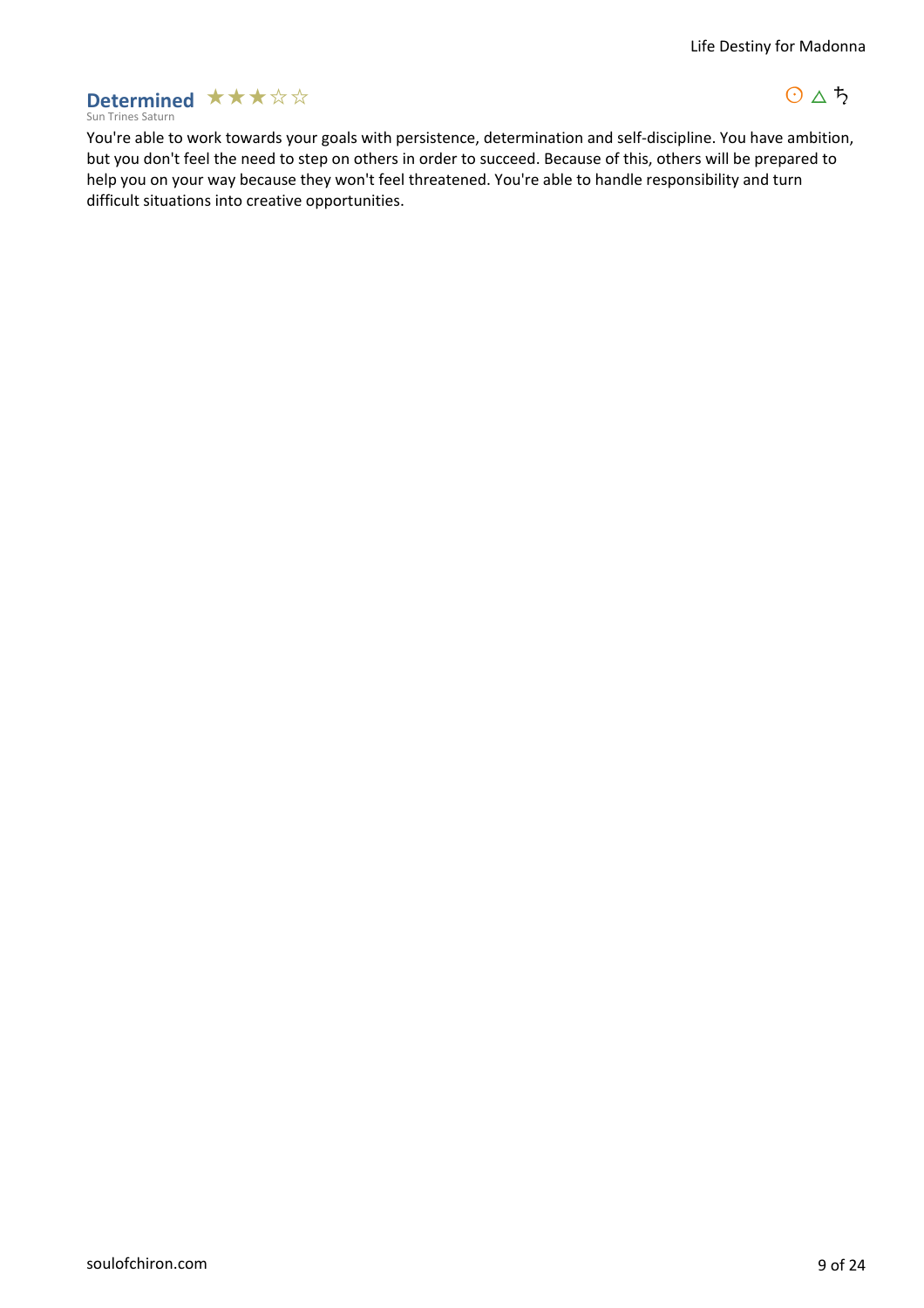### Sun Trines Saturn **Determined**  $\star \star \star \star \star$

 $0 \triangle 5$ 

You're able to work towards your goals with persistence, determination and self-discipline. You have ambition, but you don't feel the need to step on others in order to succeed. Because of this, others will be prepared to help you on your way because they won't feel threatened. You're able to handle responsibility and turn difficult situations into creative opportunities.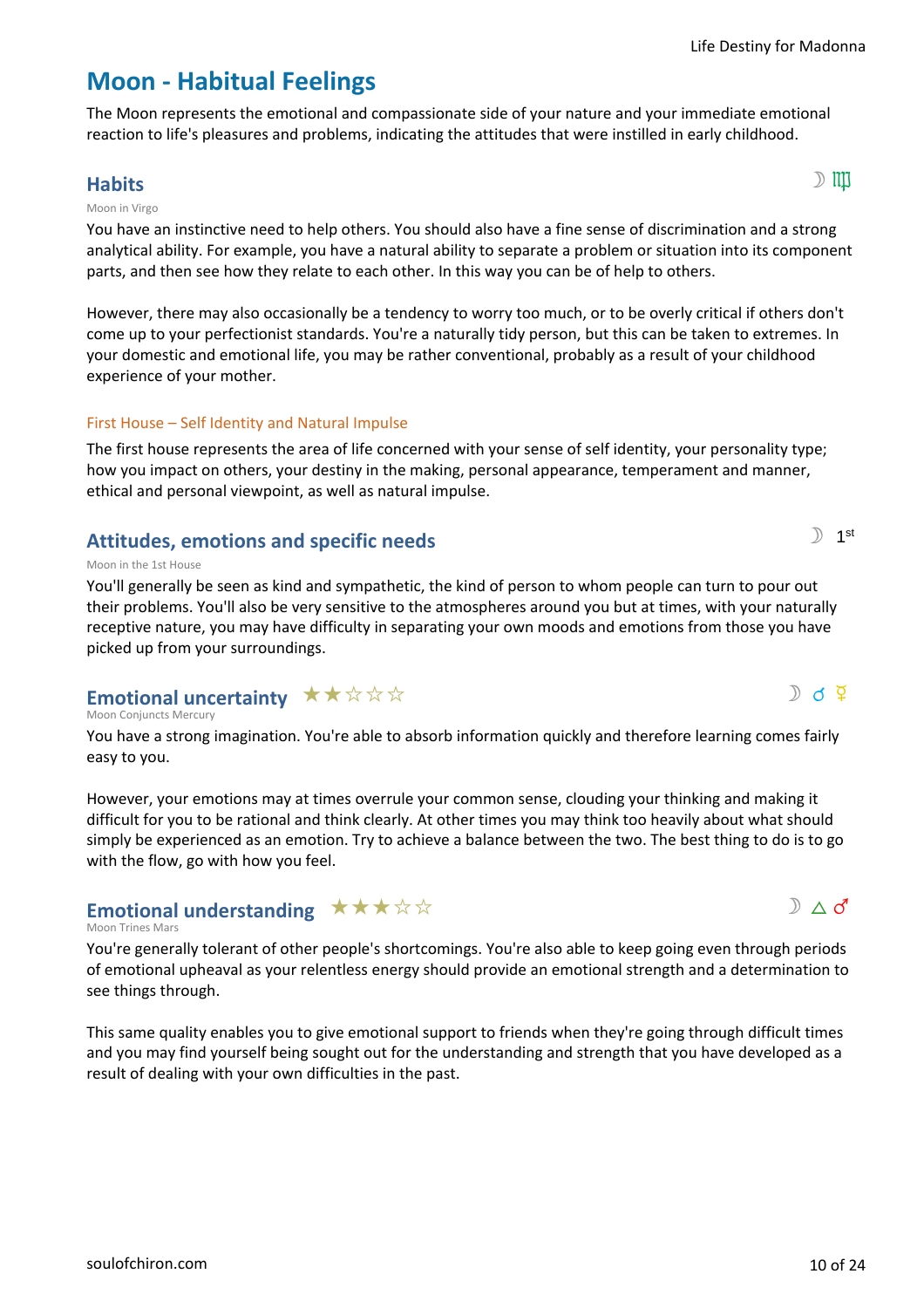# **Moon - Habitual Feelings**

The Moon represents the emotional and compassionate side of your nature and your immediate emotional reaction to life's pleasures and problems, indicating the attitudes that were instilled in early childhood.

### **Habits** s 6  $\mathbb{D}$  iii) and the contract of  $\mathbb{D}$  iii) and  $\mathbb{D}$  iii) and  $\mathbb{D}$  iiii) and  $\mathbb{D}$  iiiii

### Moon in Virgo

You have an instinctive need to help others. You should also have a fine sense of discrimination and a strong analytical ability. For example, you have a natural ability to separate a problem or situation into its component parts, and then see how they relate to each other. In this way you can be of help to others.

However, there may also occasionally be a tendency to worry too much, or to be overly critical if others don't come up to your perfectionist standards. You're a naturally tidy person, but this can be taken to extremes. In your domestic and emotional life, you may be rather conventional, probably as a result of your childhood experience of your mother.

### First House – Self Identity and Natural Impulse

The first house represents the area of life concerned with your sense of self identity, your personality type; how you impact on others, your destiny in the making, personal appearance, temperament and manner, ethical and personal viewpoint, as well as natural impulse.

### **Attitudes, emotions and specific needs**

### Moon in the 1st House

You'll generally be seen as kind and sympathetic, the kind of person to whom people can turn to pour out their problems. You'll also be very sensitive to the atmospheres around you but at times, with your naturally receptive nature, you may have difficulty in separating your own moods and emotions from those you have picked up from your surroundings.

# Emotional uncertainty  $\star\star\star\star\star$

Moon Conjuncts Mercury

You have a strong imagination. You're able to absorb information quickly and therefore learning comes fairly easy to you.

However, your emotions may at times overrule your common sense, clouding your thinking and making it difficult for you to be rational and think clearly. At other times you may think too heavily about what should simply be experienced as an emotion. Try to achieve a balance between the two. The best thing to do is to go with the flow, go with how you feel.

### Emotional understanding  $\star \star \star \star \star$

### Moon Trines Mars

You're generally tolerant of other people's shortcomings. You're also able to keep going even through periods of emotional upheaval as your relentless energy should provide an emotional strength and a determination to see things through.

This same quality enables you to give emotional support to friends when they're going through difficult times and you may find yourself being sought out for the understanding and strength that you have developed as a result of dealing with your own difficulties in the past.





 $D$  d  $\Phi$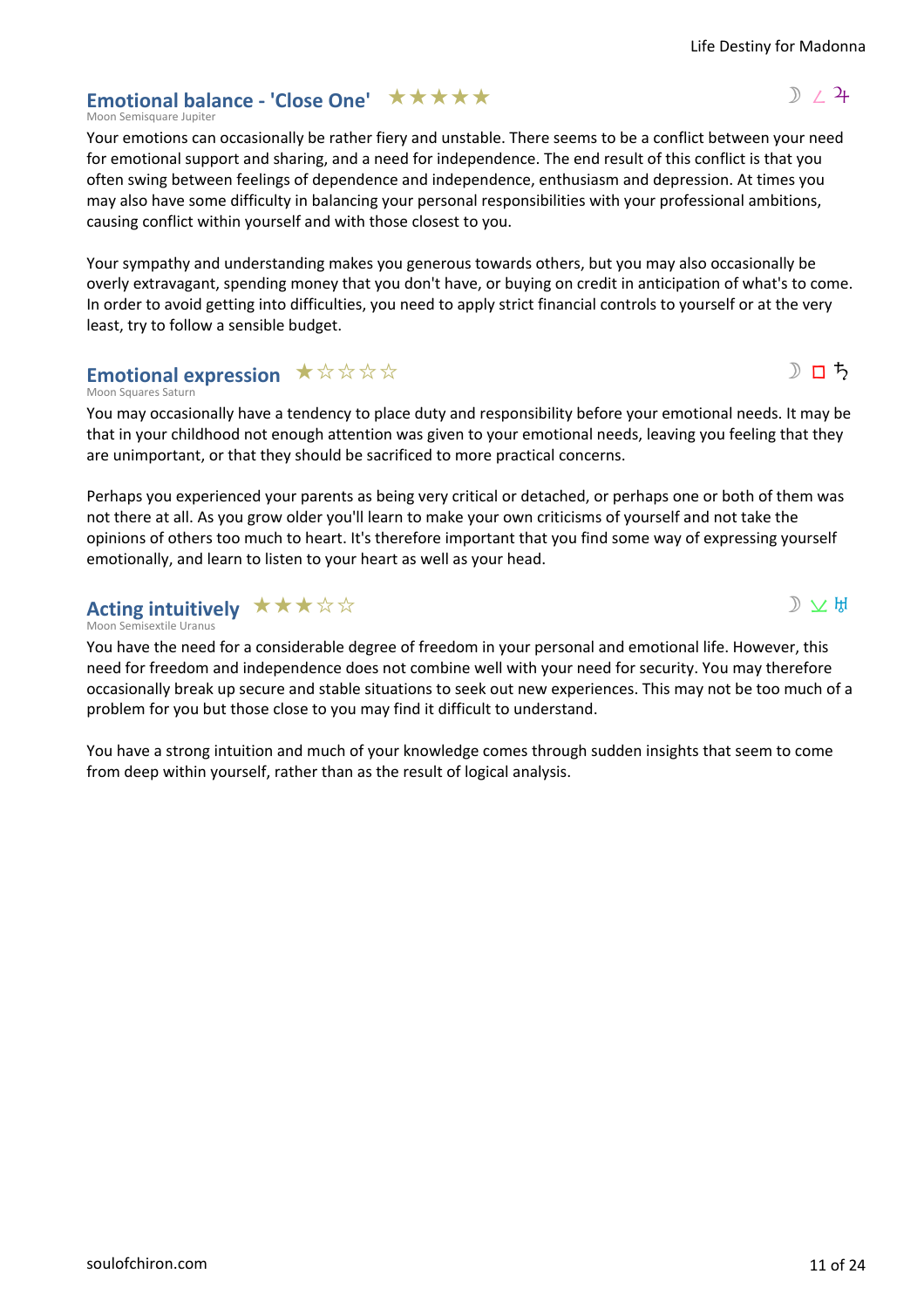### Emotional balance - 'Close One' \*\*\*\*\*

Moon Semisquare Jupiter

Your emotions can occasionally be rather fiery and unstable. There seems to be a conflict between your need for emotional support and sharing, and a need for independence. The end result of this conflict is that you often swing between feelings of dependence and independence, enthusiasm and depression. At times you may also have some difficulty in balancing your personal responsibilities with your professional ambitions, causing conflict within yourself and with those closest to you.

Your sympathy and understanding makes you generous towards others, but you may also occasionally be overly extravagant, spending money that you don't have, or buying on credit in anticipation of what's to come. In order to avoid getting into difficulties, you need to apply strict financial controls to yourself or at the very least, try to follow a sensible budget.

### Emotional expression  $\star \forall x \forall x$

Moon Squares Saturn

You may occasionally have a tendency to place duty and responsibility before your emotional needs. It may be that in your childhood not enough attention was given to your emotional needs, leaving you feeling that they are unimportant, or that they should be sacrificed to more practical concerns.

Perhaps you experienced your parents as being very critical or detached, or perhaps one or both of them was not there at all. As you grow older you'll learn to make your own criticisms of yourself and not take the opinions of others too much to heart. It's therefore important that you find some way of expressing yourself emotionally, and learn to listen to your heart as well as your head.

#### Moon Semisextile Uranus **Acting intuitively ★★★☆☆**

You have the need for a considerable degree of freedom in your personal and emotional life. However, this need for freedom and independence does not combine well with your need for security. You may therefore occasionally break up secure and stable situations to seek out new experiences. This may not be too much of a problem for you but those close to you may find it difficult to understand.

You have a strong intuition and much of your knowledge comes through sudden insights that seem to come from deep within yourself, rather than as the result of logical analysis.



Life Destiny for Madonna



 $D \times H$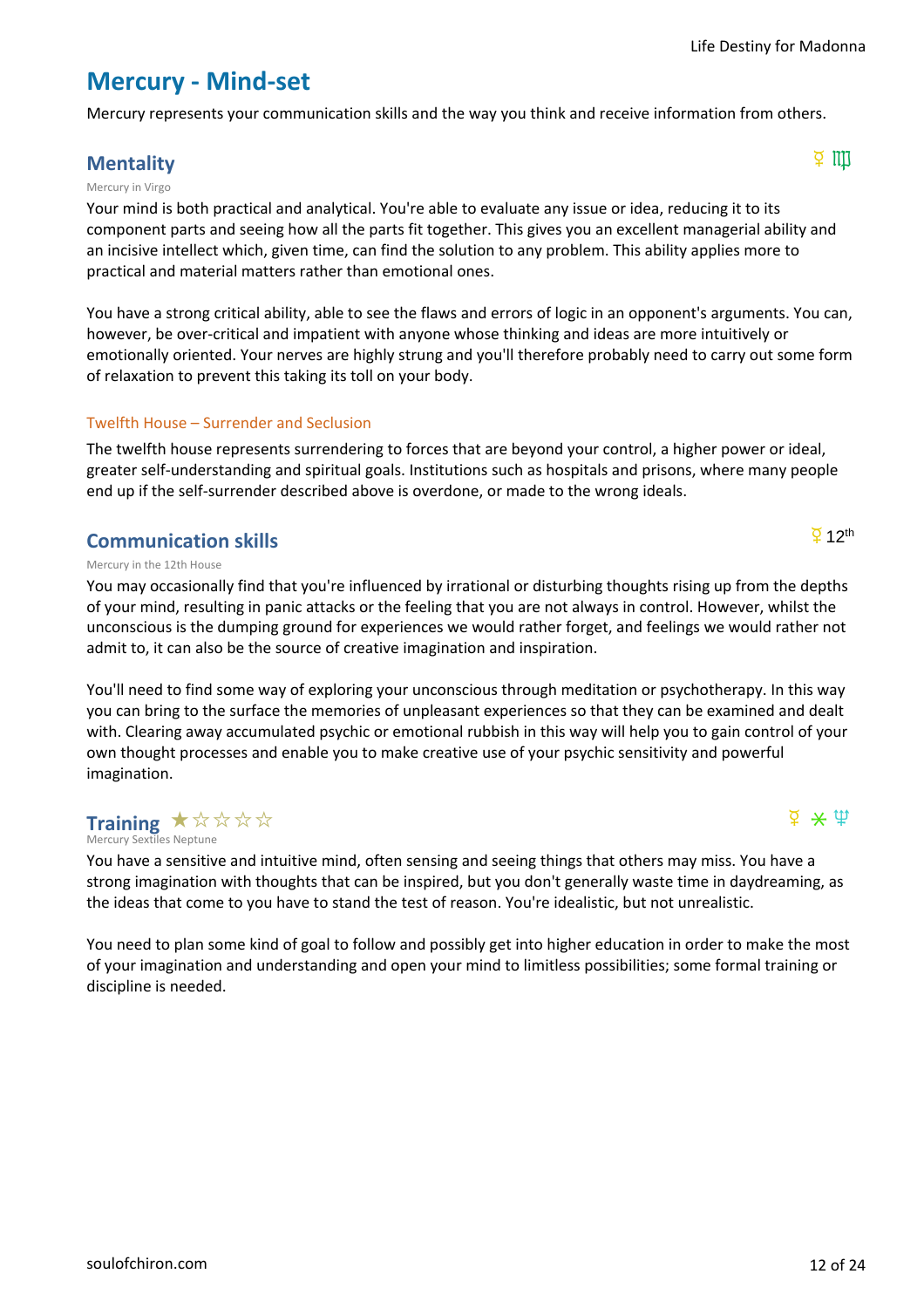### **Mercury - Mind-set**

Mercury represents your communication skills and the way you think and receive information from others.

### **Mentality**  $\frac{Q}{Q}$  iii)

#### Mercury in Virgo

Your mind is both practical and analytical. You're able to evaluate any issue or idea, reducing it to its component parts and seeing how all the parts fit together. This gives you an excellent managerial ability and an incisive intellect which, given time, can find the solution to any problem. This ability applies more to practical and material matters rather than emotional ones.

You have a strong critical ability, able to see the flaws and errors of logic in an opponent's arguments. You can, however, be over-critical and impatient with anyone whose thinking and ideas are more intuitively or emotionally oriented. Your nerves are highly strung and you'll therefore probably need to carry out some form of relaxation to prevent this taking its toll on your body.

### Twelfth House – Surrender and Seclusion

The twelfth house represents surrendering to forces that are beyond your control, a higher power or ideal, greater self-understanding and spiritual goals. Institutions such as hospitals and prisons, where many people end up if the self-surrender described above is overdone, or made to the wrong ideals.

### **Communication skills**

Mercury in the 12th House

You may occasionally find that you're influenced by irrational or disturbing thoughts rising up from the depths of your mind, resulting in panic attacks or the feeling that you are not always in control. However, whilst the unconscious is the dumping ground for experiences we would rather forget, and feelings we would rather not admit to, it can also be the source of creative imagination and inspiration.

You'll need to find some way of exploring your unconscious through meditation or psychotherapy. In this way you can bring to the surface the memories of unpleasant experiences so that they can be examined and dealt with. Clearing away accumulated psychic or emotional rubbish in this way will help you to gain control of your own thought processes and enable you to make creative use of your psychic sensitivity and powerful imagination.

### **Training**  $\star$  $\forall$  $\forall$  $\forall$  $\forall$   $\forall$

Mercury Sextiles Neptune

You have a sensitive and intuitive mind, often sensing and seeing things that others may miss. You have a strong imagination with thoughts that can be inspired, but you don't generally waste time in daydreaming, as the ideas that come to you have to stand the test of reason. You're idealistic, but not unrealistic.

You need to plan some kind of goal to follow and possibly get into higher education in order to make the most of your imagination and understanding and open your mind to limitless possibilities; some formal training or discipline is needed.

 $\overline{2}$  12<sup>th</sup>

 $\frac{1}{2}$   $\star$   $\frac{1}{2}$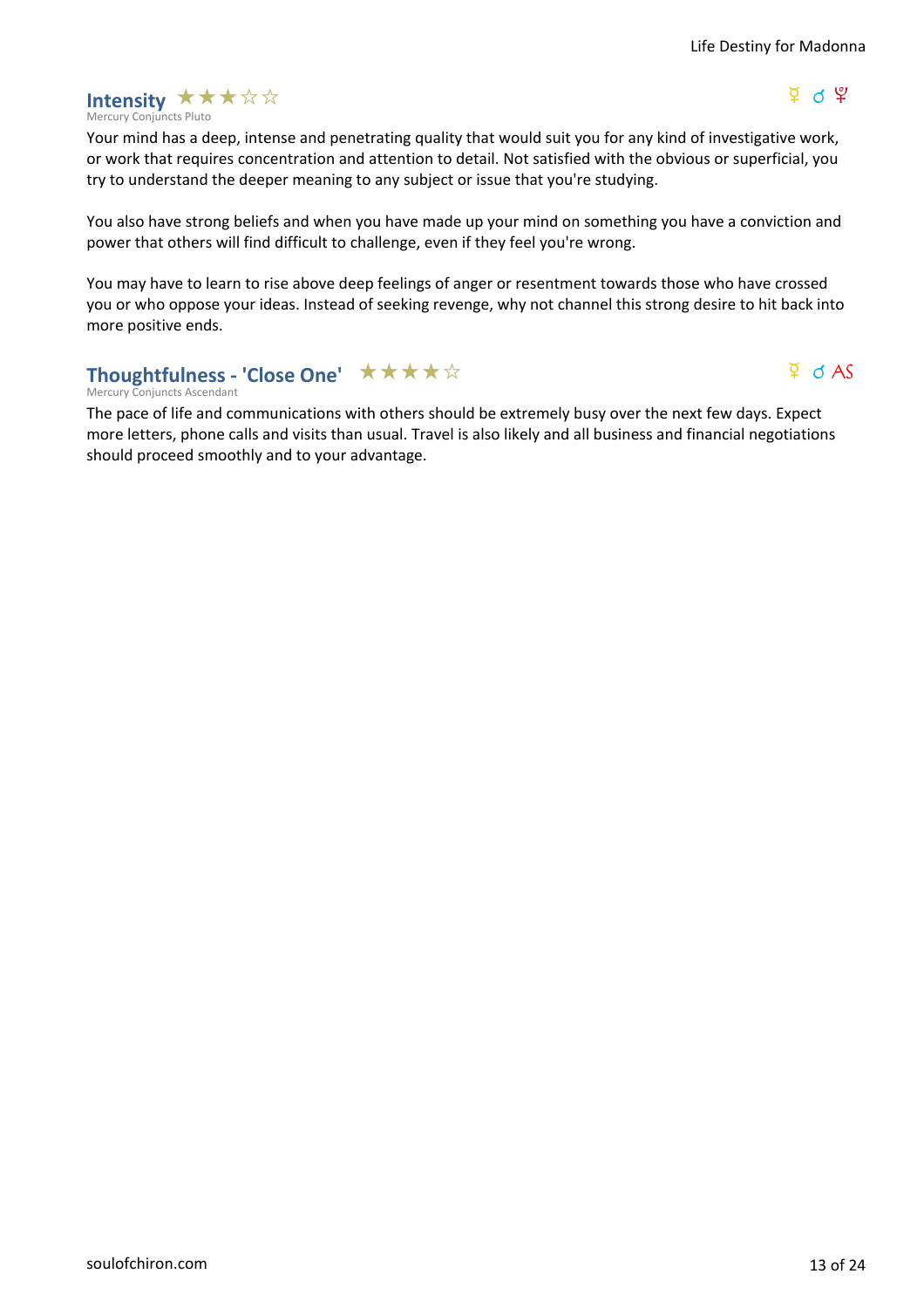#### Mercury Conjuncts Pluto **Intensity ★★★☆☆**

### $\Psi$  ለ  $\Psi$

 $\Phi$  d AS

Your mind has a deep, intense and penetrating quality that would suit you for any kind of investigative work, or work that requires concentration and attention to detail. Not satisfied with the obvious or superficial, you try to understand the deeper meaning to any subject or issue that you're studying.

You also have strong beliefs and when you have made up your mind on something you have a conviction and power that others will find difficult to challenge, even if they feel you're wrong.

You may have to learn to rise above deep feelings of anger or resentment towards those who have crossed you or who oppose your ideas. Instead of seeking revenge, why not channel this strong desire to hit back into more positive ends.

### Thoughtfulness - 'Close One' ★★★★☆

Mercury Conjuncts Ascendant

The pace of life and communications with others should be extremely busy over the next few days. Expect more letters, phone calls and visits than usual. Travel is also likely and all business and financial negotiations should proceed smoothly and to your advantage.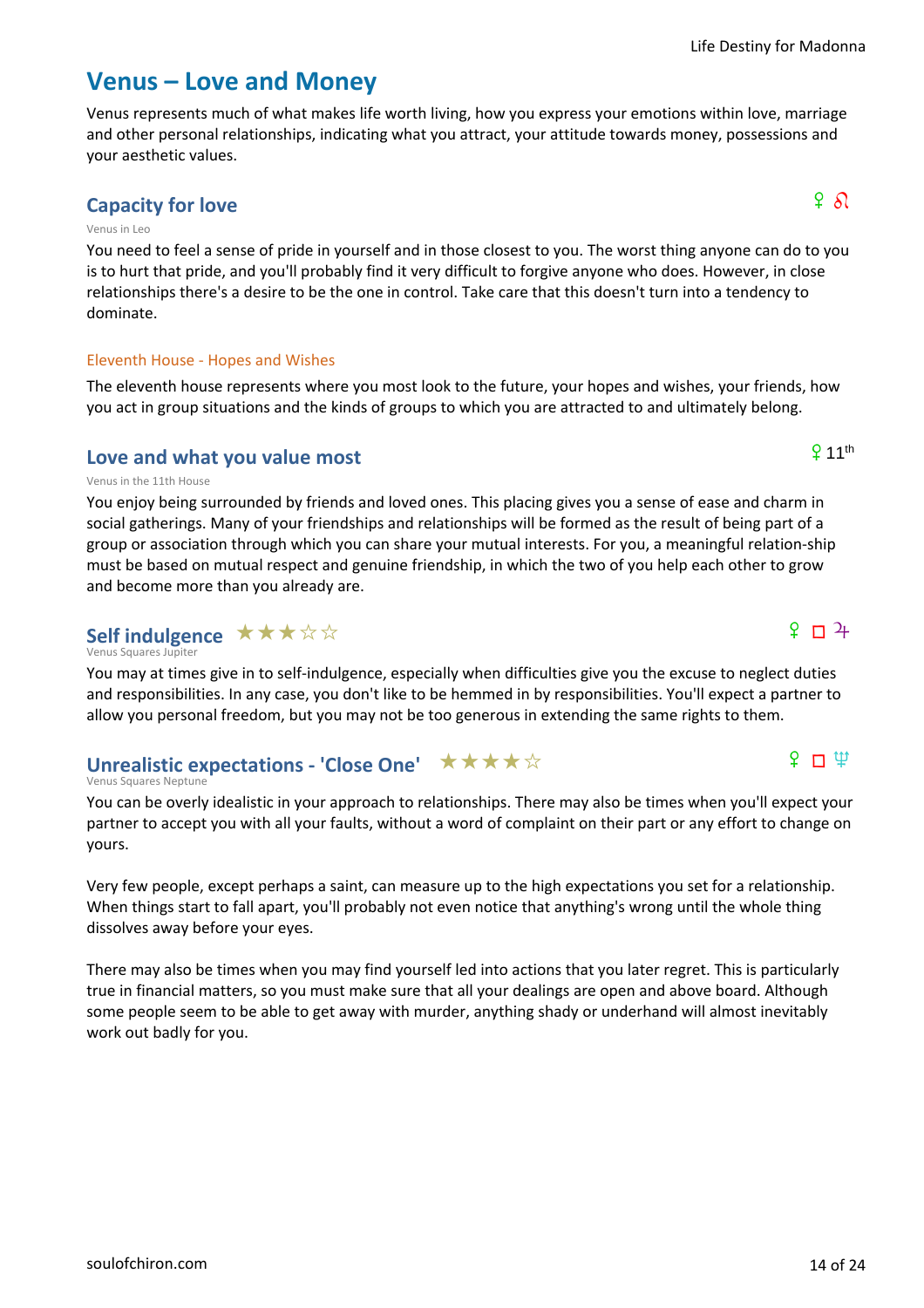### **Venus – Love and Money**

Venus represents much of what makes life worth living, how you express your emotions within love, marriage and other personal relationships, indicating what you attract, your attitude towards money, possessions and your aesthetic values.

### **Capacity for love**  $\qquad \qquad$   $\qquad \qquad$   $\qquad \qquad$   $\qquad \qquad$   $\qquad \qquad$   $\qquad \qquad$   $\qquad \qquad$   $\qquad \qquad$   $\qquad \qquad$   $\qquad \qquad$   $\qquad \qquad$   $\qquad \qquad$   $\qquad \qquad$   $\qquad \qquad$   $\qquad \qquad$   $\qquad \qquad$   $\qquad \qquad$   $\qquad \qquad$   $\qquad$   $\qquad$   $\qquad \qquad$   $\qquad$   $\qquad$   $\qquad$

#### Venus in Leo

You need to feel a sense of pride in yourself and in those closest to you. The worst thing anyone can do to you is to hurt that pride, and you'll probably find it very difficult to forgive anyone who does. However, in close relationships there's a desire to be the one in control. Take care that this doesn't turn into a tendency to dominate.

### Eleventh House - Hopes and Wishes

The eleventh house represents where you most look to the future, your hopes and wishes, your friends, how you act in group situations and the kinds of groups to which you are attracted to and ultimately belong.

### **Love and what you value most**

#### Venus in the 11th House

You enjoy being surrounded by friends and loved ones. This placing gives you a sense of ease and charm in social gatherings. Many of your friendships and relationships will be formed as the result of being part of a group or association through which you can share your mutual interests. For you, a meaningful relation-ship must be based on mutual respect and genuine friendship, in which the two of you help each other to grow and become more than you already are.

### Self indulgence  $\star\star\star\star\star$

Venus Squares Jupiter

You may at times give in to self-indulgence, especially when difficulties give you the excuse to neglect duties and responsibilities. In any case, you don't like to be hemmed in by responsibilities. You'll expect a partner to allow you personal freedom, but you may not be too generous in extending the same rights to them.

#### Venus Squares Neptune **Unrealistic expectations - 'Close One'** ★★★★☆

You can be overly idealistic in your approach to relationships. There may also be times when you'll expect your partner to accept you with all your faults, without a word of complaint on their part or any effort to change on yours.

Very few people, except perhaps a saint, can measure up to the high expectations you set for a relationship. When things start to fall apart, you'll probably not even notice that anything's wrong until the whole thing dissolves away before your eyes.

There may also be times when you may find yourself led into actions that you later regret. This is particularly true in financial matters, so you must make sure that all your dealings are open and above board. Although some people seem to be able to get away with murder, anything shady or underhand will almost inevitably work out badly for you.

 $9.11<sup>th</sup>$ 

 $9 \sqrt{1}$ 

### $\Omega$   $\Box$   $\oplus$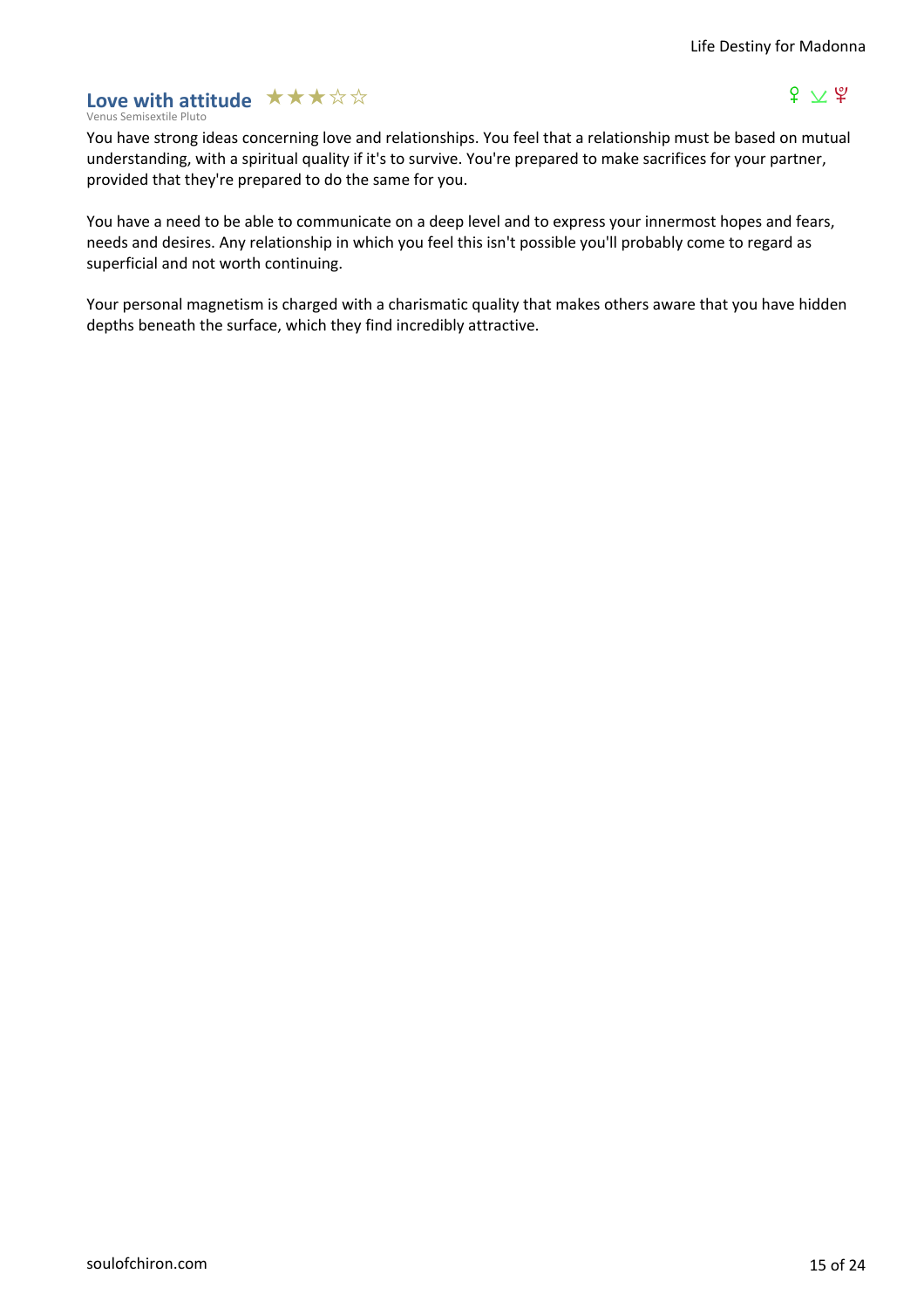### Love with attitude **★★★☆☆**

### $f \vee g$

Venus Semisextile Pluto

You have strong ideas concerning love and relationships. You feel that a relationship must be based on mutual understanding, with a spiritual quality if it's to survive. You're prepared to make sacrifices for your partner, provided that they're prepared to do the same for you.

You have a need to be able to communicate on a deep level and to express your innermost hopes and fears, needs and desires. Any relationship in which you feel this isn't possible you'll probably come to regard as superficial and not worth continuing.

Your personal magnetism is charged with a charismatic quality that makes others aware that you have hidden depths beneath the surface, which they find incredibly attractive.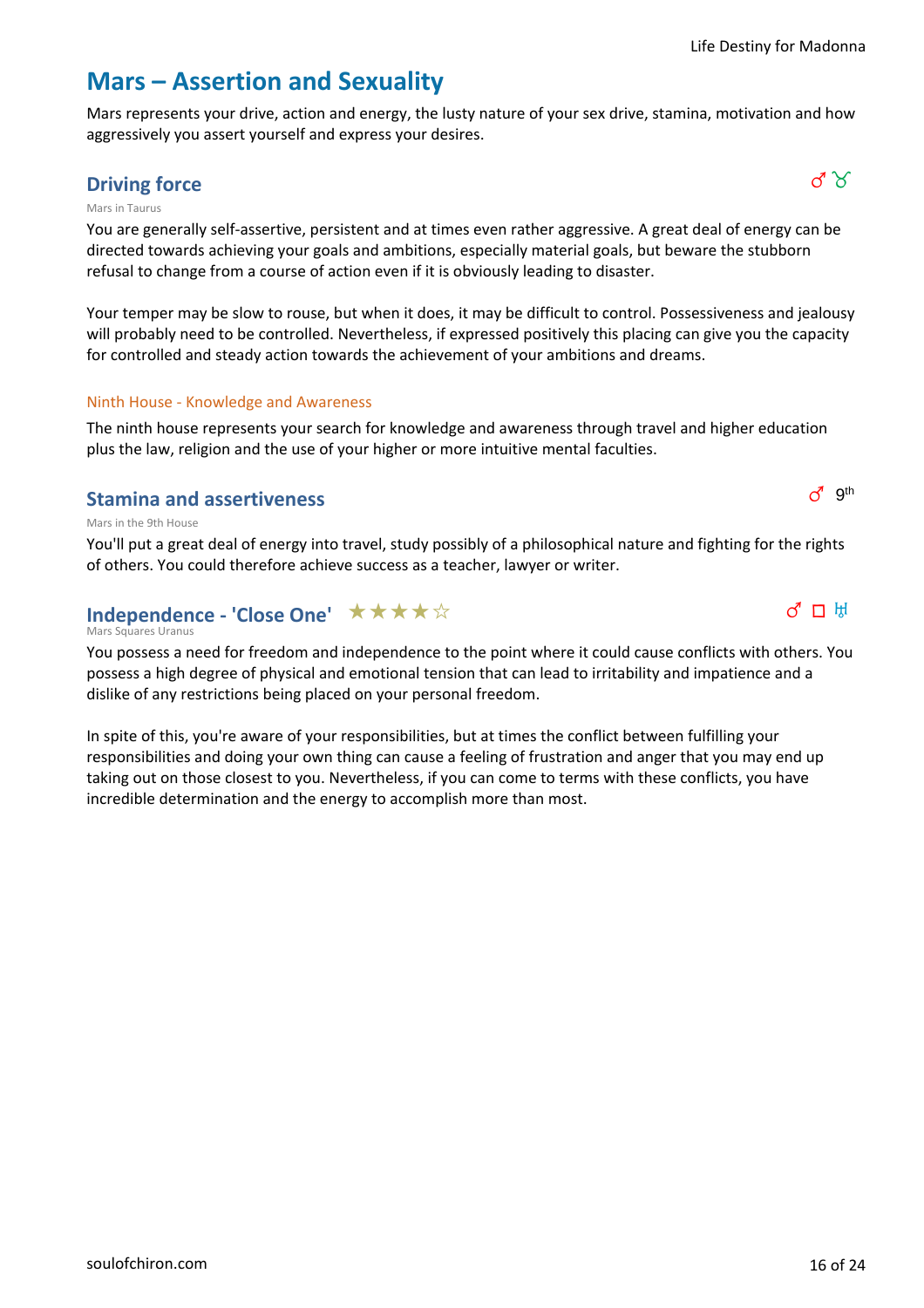$d^{\text{g}}$  gth

 $\sigma$   $\Box$   $\mathbb{H}$ 

### **Mars – Assertion and Sexuality**

Mars represents your drive, action and energy, the lusty nature of your sex drive, stamina, motivation and how aggressively you assert yourself and express your desires.

### **Driving force**  $\sigma' \delta'$

#### Mars in Taurus

You are generally self-assertive, persistent and at times even rather aggressive. A great deal of energy can be directed towards achieving your goals and ambitions, especially material goals, but beware the stubborn refusal to change from a course of action even if it is obviously leading to disaster.

Your temper may be slow to rouse, but when it does, it may be difficult to control. Possessiveness and jealousy will probably need to be controlled. Nevertheless, if expressed positively this placing can give you the capacity for controlled and steady action towards the achievement of your ambitions and dreams.

### Ninth House - Knowledge and Awareness

The ninth house represents your search for knowledge and awareness through travel and higher education plus the law, religion and the use of your higher or more intuitive mental faculties.

### **Stamina and assertiveness**

Mars in the 9th House

You'll put a great deal of energy into travel, study possibly of a philosophical nature and fighting for the rights of others. You could therefore achieve success as a teacher, lawyer or writer.

### **Independence - 'Close One'** ★ ★ ★ ★ ☆

#### Mars Squares Uranus

You possess a need for freedom and independence to the point where it could cause conflicts with others. You possess a high degree of physical and emotional tension that can lead to irritability and impatience and a dislike of any restrictions being placed on your personal freedom.

In spite of this, you're aware of your responsibilities, but at times the conflict between fulfilling your responsibilities and doing your own thing can cause a feeling of frustration and anger that you may end up taking out on those closest to you. Nevertheless, if you can come to terms with these conflicts, you have incredible determination and the energy to accomplish more than most.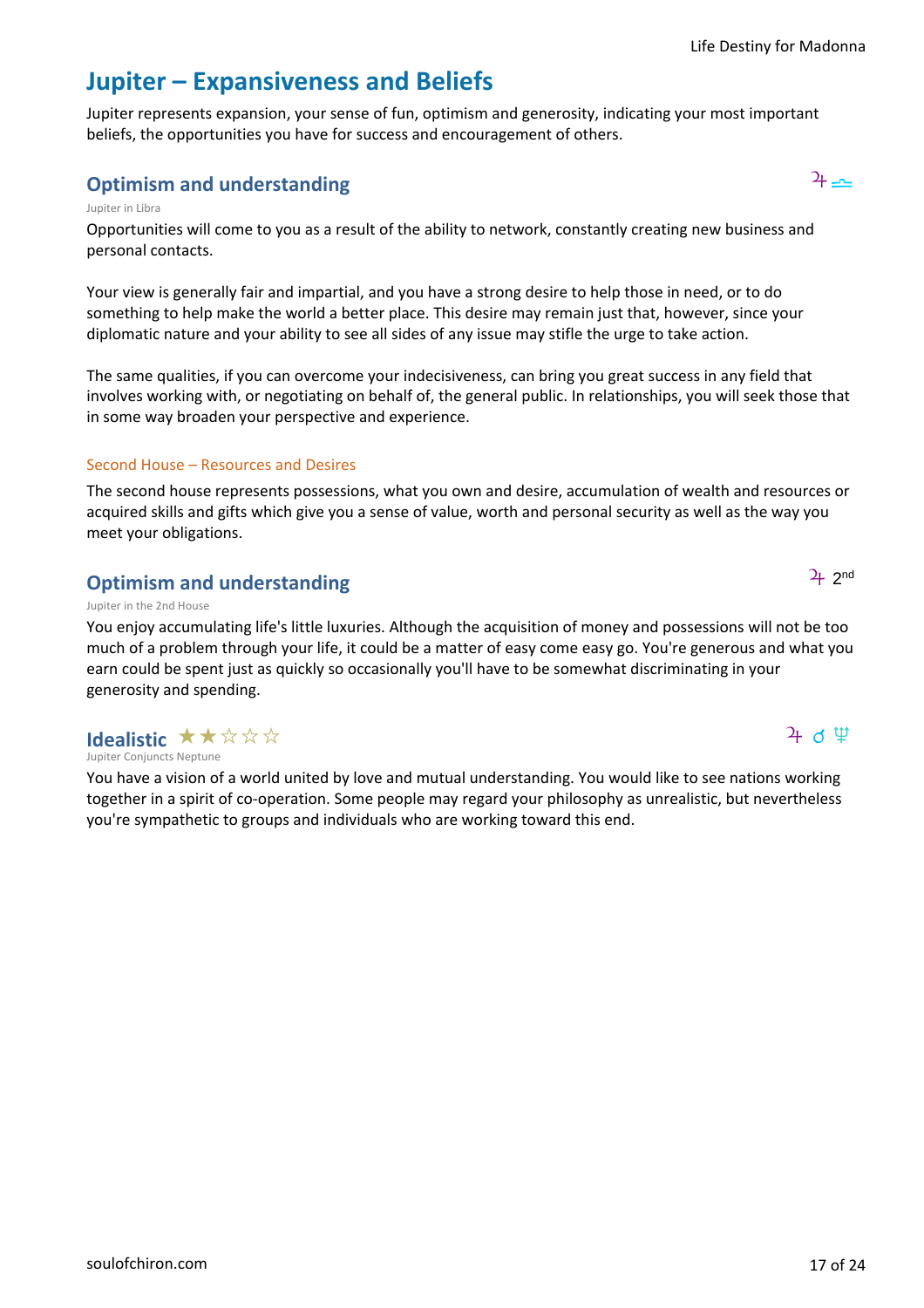# **Jupiter – Expansiveness and Beliefs**

Jupiter represents expansion, your sense of fun, optimism and generosity, indicating your most important beliefs, the opportunities you have for success and encouragement of others.

### **Optimism and understanding** has a set of the set of the set of the set of the set of the set of the set of the set of the set of the set of the set of the set of the set of the set of the set of the set of the set of the

### Jupiter in Libra

Opportunities will come to you as a result of the ability to network, constantly creating new business and personal contacts.

Your view is generally fair and impartial, and you have a strong desire to help those in need, or to do something to help make the world a better place. This desire may remain just that, however, since your diplomatic nature and your ability to see all sides of any issue may stifle the urge to take action.

The same qualities, if you can overcome your indecisiveness, can bring you great success in any field that involves working with, or negotiating on behalf of, the general public. In relationships, you will seek those that in some way broaden your perspective and experience.

### Second House – Resources and Desires

The second house represents possessions, what you own and desire, accumulation of wealth and resources or acquired skills and gifts which give you a sense of value, worth and personal security as well as the way you meet your obligations.

### **Optimism and understanding**

### Jupiter in the 2nd House

You enjoy accumulating life's little luxuries. Although the acquisition of money and possessions will not be too much of a problem through your life, it could be a matter of easy come easy go. You're generous and what you earn could be spent just as quickly so occasionally you'll have to be somewhat discriminating in your generosity and spending.

### Jupiter Conjuncts Neptune **Idealistic**  $\star \star \forall \forall x$

You have a vision of a world united by love and mutual understanding. You would like to see nations working together in a spirit of co-operation. Some people may regard your philosophy as unrealistic, but nevertheless you're sympathetic to groups and individuals who are working toward this end.

[soulofchiron.com](https://soulofchiron.com/) 17 of 24

 $4$  d  $\mathfrak{P}$ 



 $2<sub>+</sub>$  2<sup>nd</sup>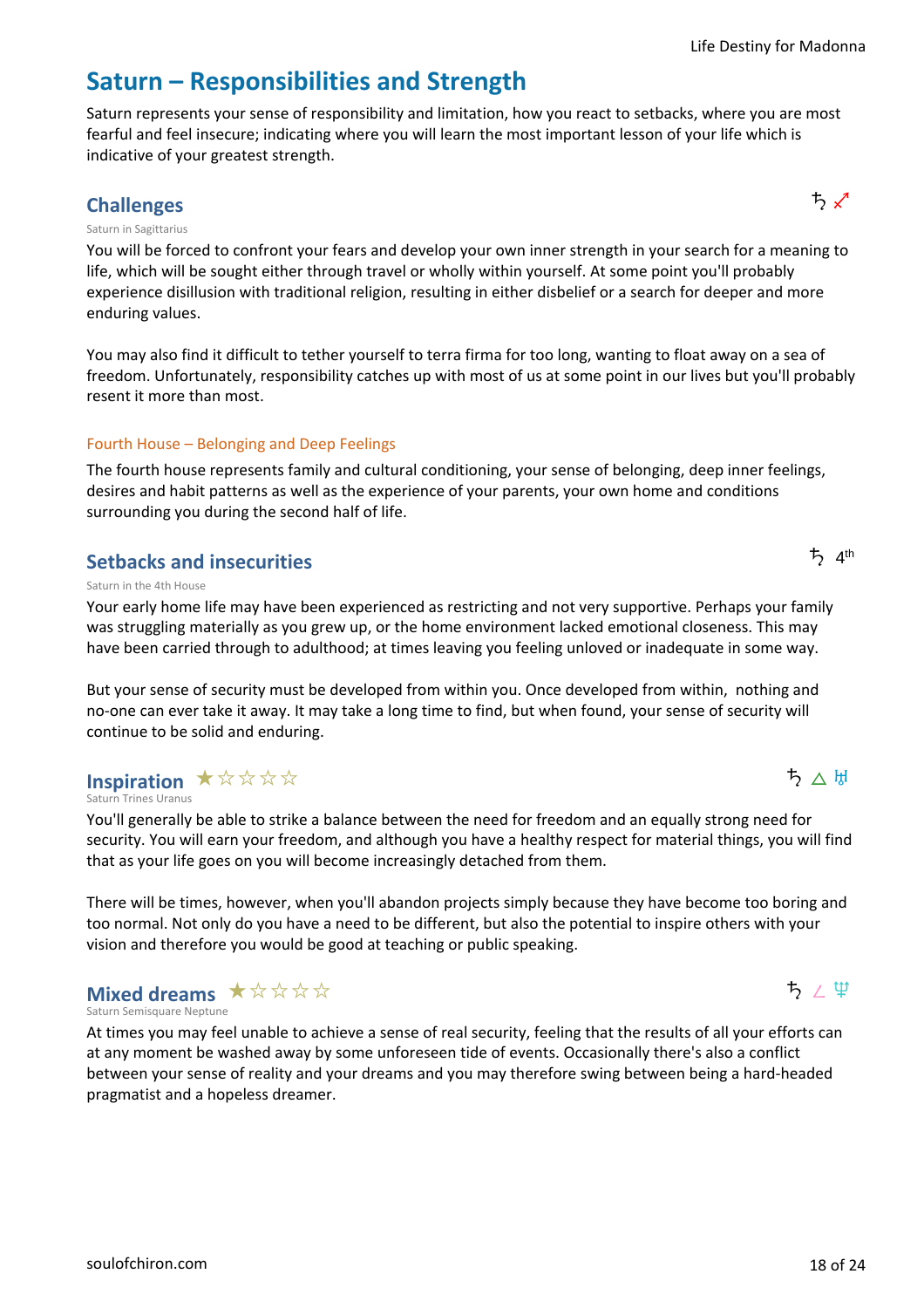# **Saturn – Responsibilities and Strength**

Saturn represents your sense of responsibility and limitation, how you react to setbacks, where you are most fearful and feel insecure; indicating where you will learn the most important lesson of your life which is indicative of your greatest strength.

### challenges **うらん しょうしょう しょうしょう しょうしょう しょうしょう**

### Saturn in Sagittarius

You will be forced to confront your fears and develop your own inner strength in your search for a meaning to life, which will be sought either through travel or wholly within yourself. At some point you'll probably experience disillusion with traditional religion, resulting in either disbelief or a search for deeper and more enduring values.

You may also find it difficult to tether yourself to terra firma for too long, wanting to float away on a sea of freedom. Unfortunately, responsibility catches up with most of us at some point in our lives but you'll probably resent it more than most.

### Fourth House – Belonging and Deep Feelings

The fourth house represents family and cultural conditioning, your sense of belonging, deep inner feelings, desires and habit patterns as well as the experience of your parents, your own home and conditions surrounding you during the second half of life.

### **Setbacks and insecurities**

Saturn in the 4th House

Your early home life may have been experienced as restricting and not very supportive. Perhaps your family was struggling materially as you grew up, or the home environment lacked emotional closeness. This may have been carried through to adulthood; at times leaving you feeling unloved or inadequate in some way.

But your sense of security must be developed from within you. Once developed from within, nothing and no-one can ever take it away. It may take a long time to find, but when found, your sense of security will continue to be solid and enduring.

### **Inspiration ★☆☆☆☆**

Saturn Trines Uranus

You'll generally be able to strike a balance between the need for freedom and an equally strong need for security. You will earn your freedom, and although you have a healthy respect for material things, you will find that as your life goes on you will become increasingly detached from them.

There will be times, however, when you'll abandon projects simply because they have become too boring and too normal. Not only do you have a need to be different, but also the potential to inspire others with your vision and therefore you would be good at teaching or public speaking.

### Saturn Semisquare Neptune **Mixed dreams** ★☆☆☆☆

At times you may feel unable to achieve a sense of real security, feeling that the results of all your efforts can at any moment be washed away by some unforeseen tide of events. Occasionally there's also a conflict between your sense of reality and your dreams and you may therefore swing between being a hard-headed pragmatist and a hopeless dreamer.



ち△ $H$ 

 $\uparrow$  4<sup>th</sup>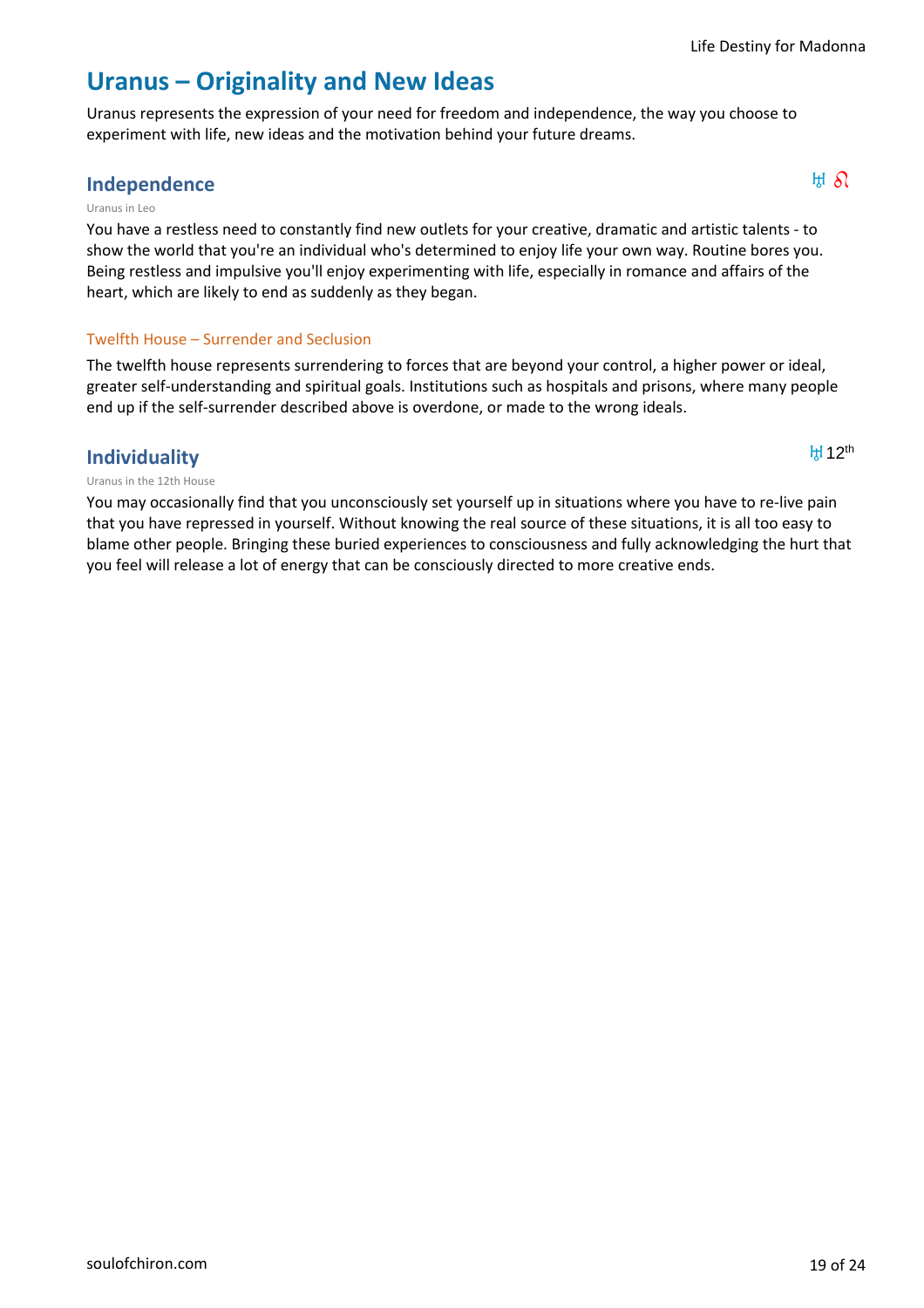$H12<sup>th</sup>$ 

### **Uranus – Originality and New Ideas**

Uranus represents the expression of your need for freedom and independence, the way you choose to experiment with life, new ideas and the motivation behind your future dreams.

### **Independence**  $\mathbb{H} \mathcal{S}$

#### Uranus in Leo

You have a restless need to constantly find new outlets for your creative, dramatic and artistic talents - to show the world that you're an individual who's determined to enjoy life your own way. Routine bores you. Being restless and impulsive you'll enjoy experimenting with life, especially in romance and affairs of the heart, which are likely to end as suddenly as they began.

### Twelfth House – Surrender and Seclusion

The twelfth house represents surrendering to forces that are beyond your control, a higher power or ideal, greater self-understanding and spiritual goals. Institutions such as hospitals and prisons, where many people end up if the self-surrender described above is overdone, or made to the wrong ideals.

### **Individuality**

#### Uranus in the 12th House

You may occasionally find that you unconsciously set yourself up in situations where you have to re-live pain that you have repressed in yourself. Without knowing the real source of these situations, it is all too easy to blame other people. Bringing these buried experiences to consciousness and fully acknowledging the hurt that you feel will release a lot of energy that can be consciously directed to more creative ends.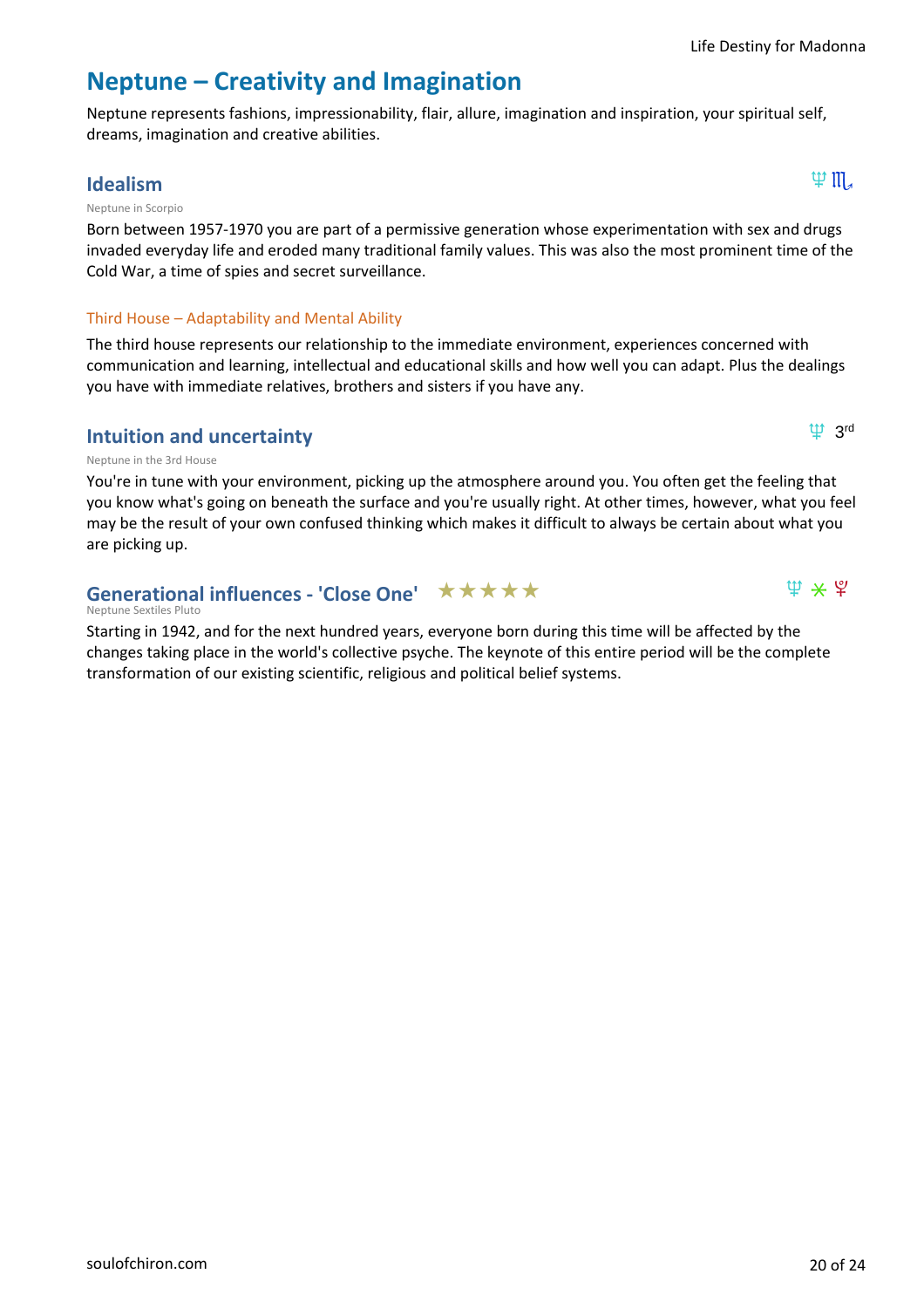$\mathfrak{P}$  3rd

 $\Psi$   $\star$   $\Psi$ 

# **Neptune – Creativity and Imagination**

Neptune represents fashions, impressionability, flair, allure, imagination and inspiration, your spiritual self, dreams, imagination and creative abilities.

### $\textsf{I}$ dealism  $\textsf{I} \mathbb{R}$

### Neptune in Scorpio

Born between 1957-1970 you are part of a permissive generation whose experimentation with sex and drugs invaded everyday life and eroded many traditional family values. This was also the most prominent time of the Cold War, a time of spies and secret surveillance.

### Third House – Adaptability and Mental Ability

The third house represents our relationship to the immediate environment, experiences concerned with communication and learning, intellectual and educational skills and how well you can adapt. Plus the dealings you have with immediate relatives, brothers and sisters if you have any.

### **Intuition and uncertainty**

### Neptune in the 3rd House

You're in tune with your environment, picking up the atmosphere around you. You often get the feeling that you know what's going on beneath the surface and you're usually right. At other times, however, what you feel may be the result of your own confused thinking which makes it difficult to always be certain about what you are picking up.

### Generational influences - 'Close One' ★ ★ ★ ★ ★

#### Neptune Sextiles Pluto

Starting in 1942, and for the next hundred years, everyone born during this time will be affected by the changes taking place in the world's collective psyche. The keynote of this entire period will be the complete transformation of our existing scientific, religious and political belief systems.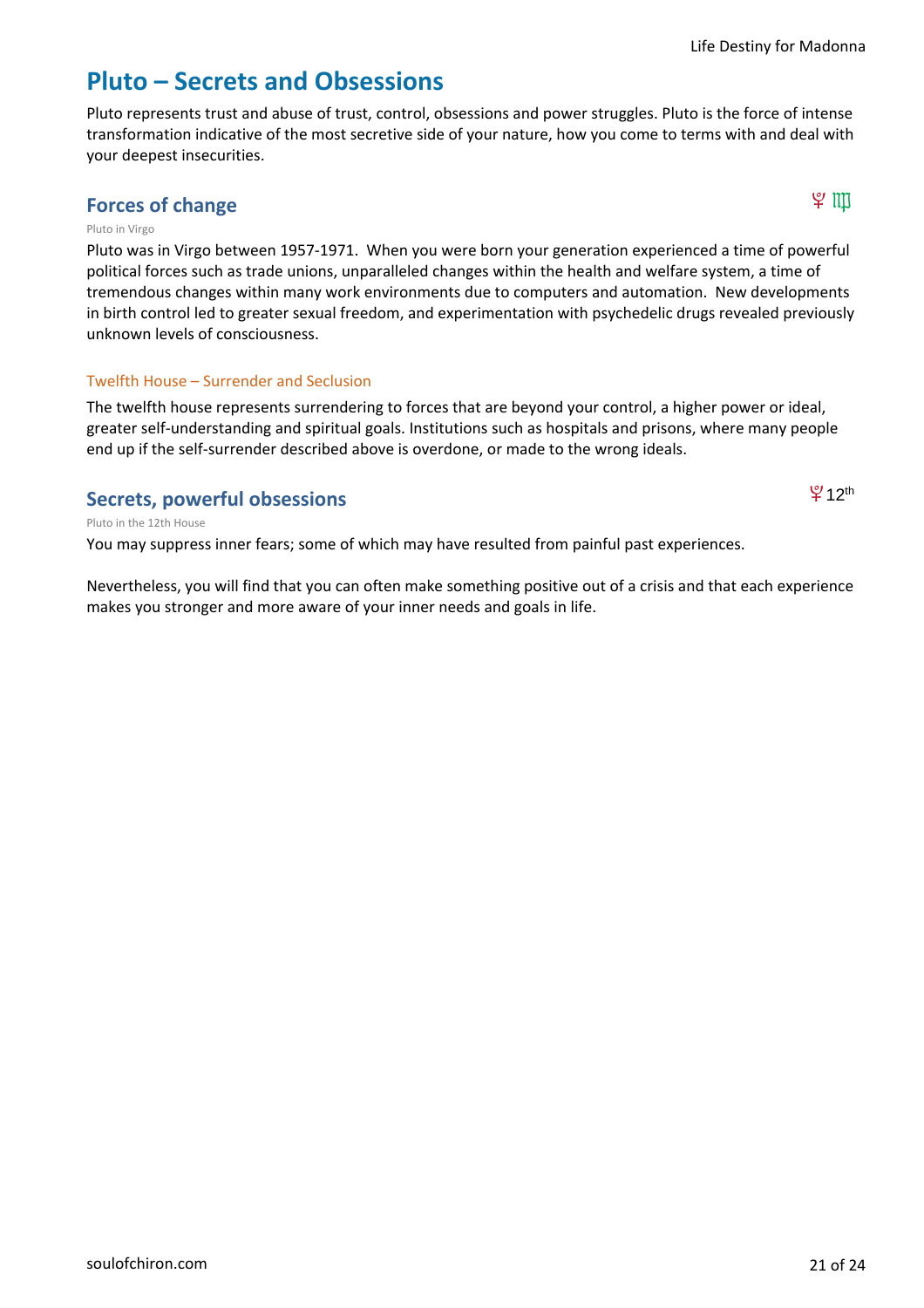$912$ <sup>th</sup>

### **Pluto – Secrets and Obsessions**

Pluto represents trust and abuse of trust, control, obsessions and power struggles. Pluto is the force of intense transformation indicative of the most secretive side of your nature, how you come to terms with and deal with your deepest insecurities.

### **Forces of change**  $\forall$  川

#### Pluto in Virgo

Pluto was in Virgo between 1957-1971. When you were born your generation experienced a time of powerful political forces such as trade unions, unparalleled changes within the health and welfare system, a time of tremendous changes within many work environments due to computers and automation. New developments in birth control led to greater sexual freedom, and experimentation with psychedelic drugs revealed previously unknown levels of consciousness.

### Twelfth House – Surrender and Seclusion

The twelfth house represents surrendering to forces that are beyond your control, a higher power or ideal, greater self-understanding and spiritual goals. Institutions such as hospitals and prisons, where many people end up if the self-surrender described above is overdone, or made to the wrong ideals.

### **Secrets, powerful obsessions**

Pluto in the 12th House

You may suppress inner fears; some of which may have resulted from painful past experiences.

Nevertheless, you will find that you can often make something positive out of a crisis and that each experience makes you stronger and more aware of your inner needs and goals in life.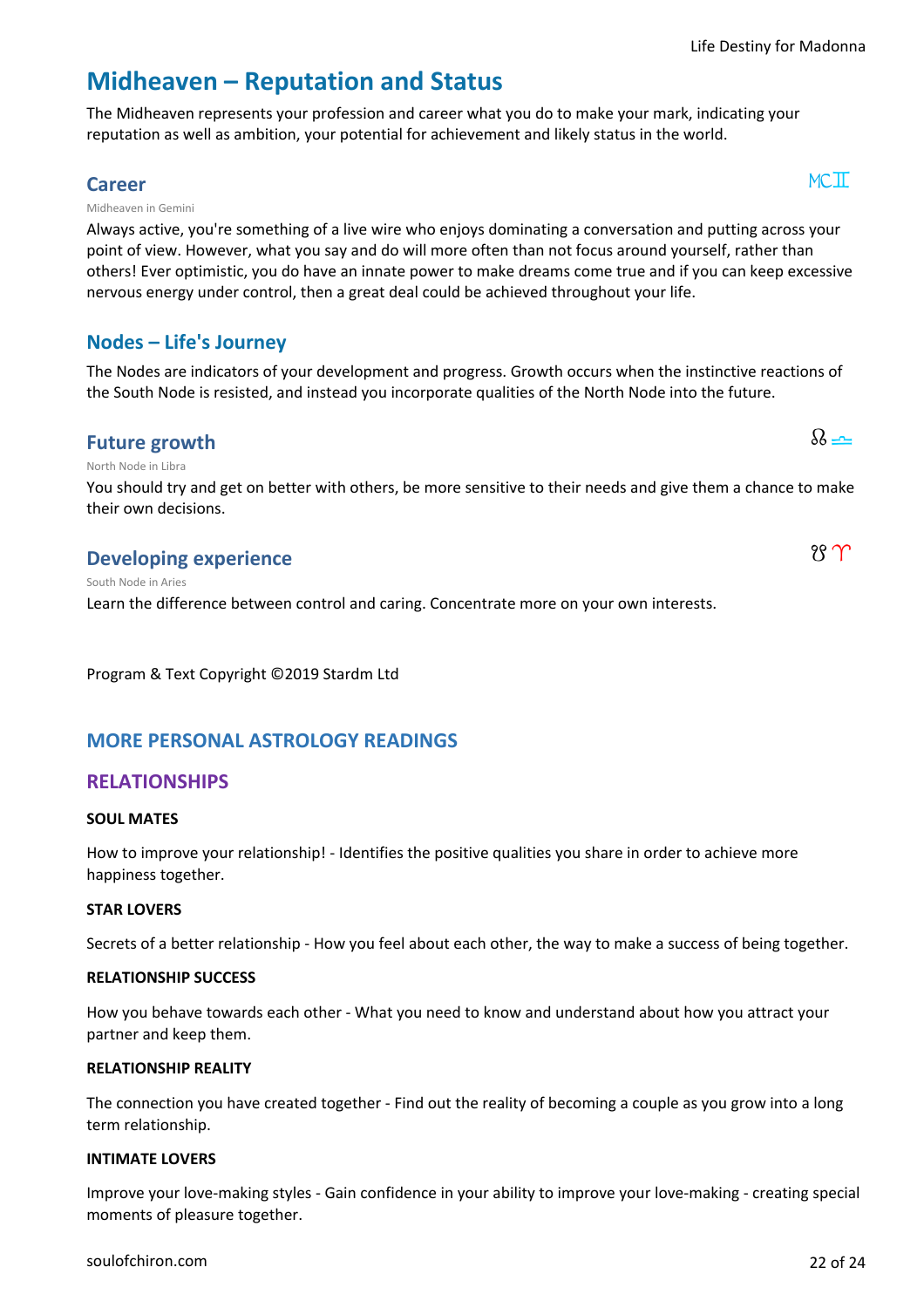### **Midheaven – Reputation and Status**

The Midheaven represents your profession and career what you do to make your mark, indicating your reputation as well as ambition, your potential for achievement and likely status in the world.

### **Career**  $MCI$

Midheaven in Gemini

Always active, you're something of a live wire who enjoys dominating a conversation and putting across your point of view. However, what you say and do will more often than not focus around yourself, rather than others! Ever optimistic, you do have an innate power to make dreams come true and if you can keep excessive nervous energy under control, then a great deal could be achieved throughout your life.

### **Nodes – Life's Journey**

The Nodes are indicators of your development and progress. Growth occurs when the instinctive reactions of the South Node is resisted, and instead you incorporate qualities of the North Node into the future.

### **Future growth**  $\partial_{\theta}$

North Node in Libra

South Node in Aries

You should try and get on better with others, be more sensitive to their needs and give them a chance to make their own decisions.

### **Developing experience**  $\mathcal{C}$

Learn the difference between control and caring. Concentrate more on your own interests.

Program & Text Copyright ©2019 Stardm Ltd

### **MORE PERSONAL ASTROLOGY READINGS**

### **RELATIONSHIPS**

### **SOUL MATES**

How to improve your relationship! - Identifies the positive qualities you share in order to achieve more happiness together.

### **STAR LOVERS**

Secrets of a better relationship - How you feel about each other, the way to make a success of being together.

### **RELATIONSHIP SUCCESS**

How you behave towards each other - What you need to know and understand about how you attract your partner and keep them.

### **RELATIONSHIP REALITY**

The connection you have created together - Find out the reality of becoming a couple as you grow into a long term relationship.

### **INTIMATE LOVERS**

Improve your love-making styles - Gain confidence in your ability to improve your love-making - creating special moments of pleasure together.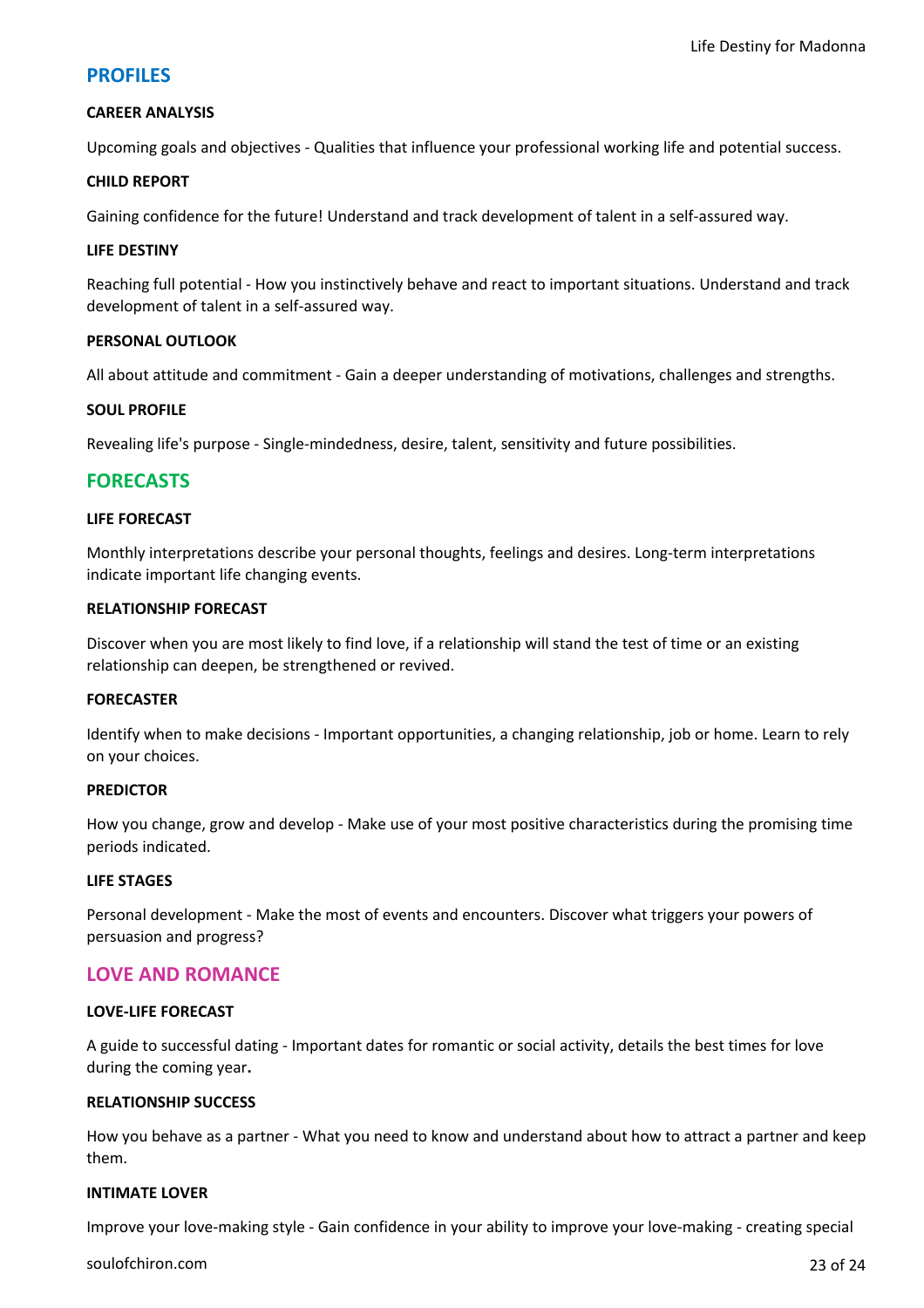### **PROFILES**

#### **CAREER ANALYSIS**

Upcoming goals and objectives - Qualities that influence your professional working life and potential success.

#### **CHILD REPORT**

Gaining confidence for the future! Understand and track development of talent in a self-assured way.

#### **LIFE DESTINY**

Reaching full potential - How you instinctively behave and react to important situations. Understand and track development of talent in a self-assured way.

#### **PERSONAL OUTLOOK**

All about attitude and commitment - Gain a deeper understanding of motivations, challenges and strengths.

#### **SOUL PROFILE**

Revealing life's purpose - Single-mindedness, desire, talent, sensitivity and future possibilities.

### **FORECASTS**

#### **LIFE FORECAST**

Monthly interpretations describe your personal thoughts, feelings and desires. Long-term interpretations indicate important life changing events.

#### **RELATIONSHIP FORECAST**

Discover when you are most likely to find love, if a relationship will stand the test of time or an existing relationship can deepen, be strengthened or revived.

#### **FORECASTER**

Identify when to make decisions - Important opportunities, a changing relationship, job or home. Learn to rely on your choices.

#### **PREDICTOR**

How you change, grow and develop - Make use of your most positive characteristics during the promising time periods indicated.

#### **LIFE STAGES**

Personal development - Make the most of events and encounters. Discover what triggers your powers of persuasion and progress?

### **LOVE AND ROMANCE**

### **LOVE-LIFE FORECAST**

A guide to successful dating - Important dates for romantic or social activity, details the best times for love during the coming year**.**

#### **RELATIONSHIP SUCCESS**

How you behave as a partner - What you need to know and understand about how to attract a partner and keep them.

### **INTIMATE LOVER**

Improve your love-making style - Gain confidence in your ability to improve your love-making - creating special